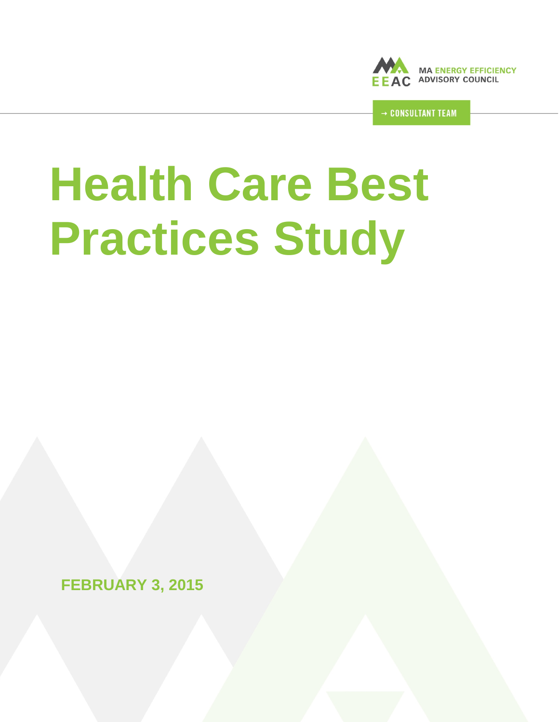

**CONSULTANT TEAM** 

# **Health Care Best Practices Study**

**FEBRUARY 3, 2015**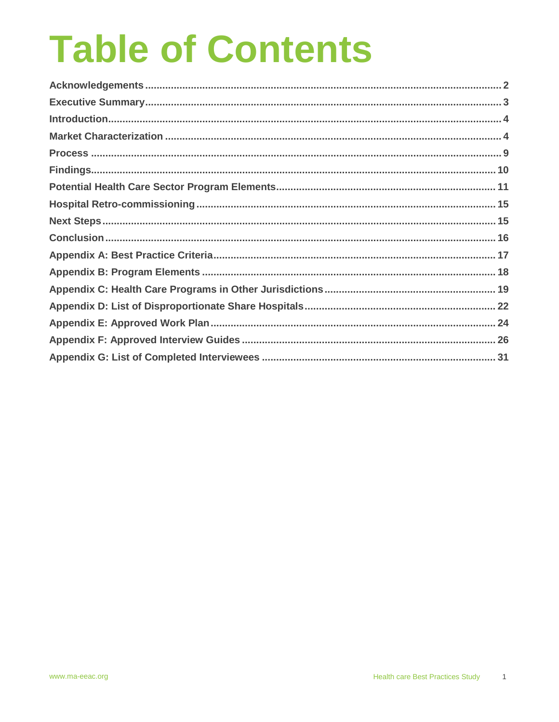# **Table of Contents**

<span id="page-1-0"></span>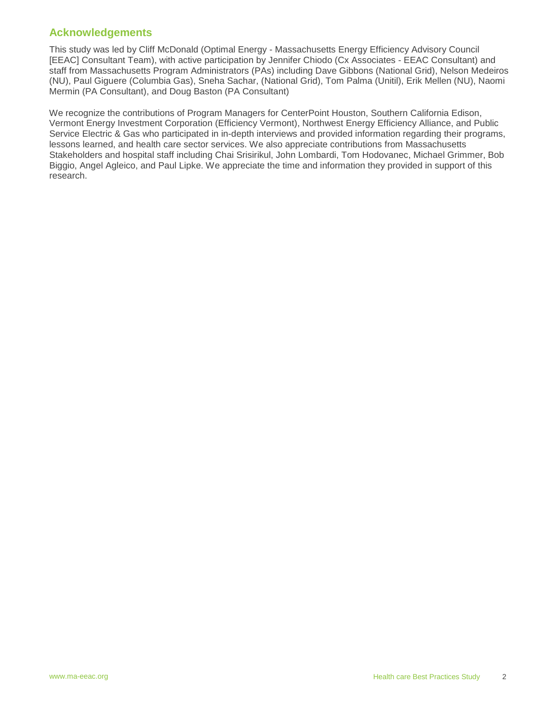# **Acknowledgements**

This study was led by Cliff McDonald (Optimal Energy - Massachusetts Energy Efficiency Advisory Council [EEAC] Consultant Team), with active participation by Jennifer Chiodo (Cx Associates - EEAC Consultant) and staff from Massachusetts Program Administrators (PAs) including Dave Gibbons (National Grid), Nelson Medeiros (NU), Paul Giguere (Columbia Gas), Sneha Sachar, (National Grid), Tom Palma (Unitil), Erik Mellen (NU), Naomi Mermin (PA Consultant), and Doug Baston (PA Consultant)

We recognize the contributions of Program Managers for CenterPoint Houston, Southern California Edison, Vermont Energy Investment Corporation (Efficiency Vermont), Northwest Energy Efficiency Alliance, and Public Service Electric & Gas who participated in in-depth interviews and provided information regarding their programs, lessons learned, and health care sector services. We also appreciate contributions from Massachusetts Stakeholders and hospital staff including Chai Srisirikul, John Lombardi, Tom Hodovanec, Michael Grimmer, Bob Biggio, Angel Agleico, and Paul Lipke. We appreciate the time and information they provided in support of this research.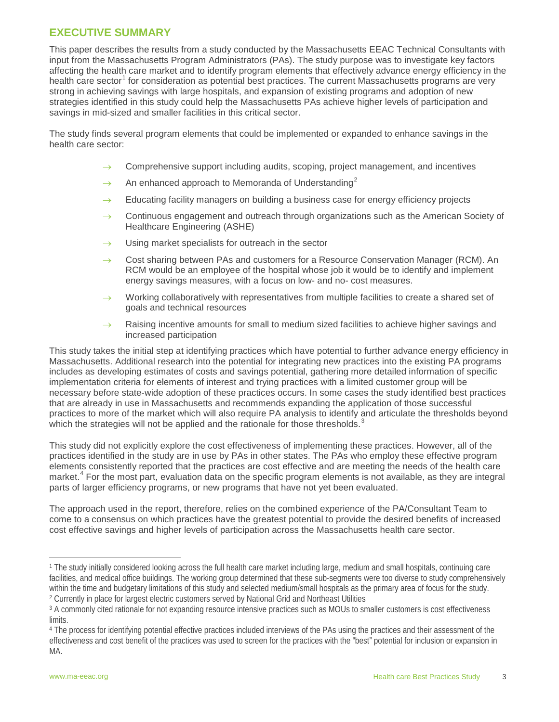# <span id="page-3-0"></span>**EXECUTIVE SUMMARY**

This paper describes the results from a study conducted by the Massachusetts EEAC Technical Consultants with input from the Massachusetts Program Administrators (PAs). The study purpose was to investigate key factors affecting the health care market and to identify program elements that effectively advance energy efficiency in the health care sector<sup>[1](#page-3-1)</sup> for consideration as potential best practices. The current Massachusetts programs are very strong in achieving savings with large hospitals, and expansion of existing programs and adoption of new strategies identified in this study could help the Massachusetts PAs achieve higher levels of participation and savings in mid-sized and smaller facilities in this critical sector.

The study finds several program elements that could be implemented or expanded to enhance savings in the health care sector:

- Comprehensive support including audits, scoping, project management, and incentives
- An enhanced approach to Memoranda of Understanding<sup>[2](#page-3-2)</sup>
- $\rightarrow$  Educating facility managers on building a business case for energy efficiency projects
- $\rightarrow$  Continuous engagement and outreach through organizations such as the American Society of Healthcare Engineering (ASHE)
- $\rightarrow$  Using market specialists for outreach in the sector
- $\rightarrow$  Cost sharing between PAs and customers for a Resource Conservation Manager (RCM). An RCM would be an employee of the hospital whose job it would be to identify and implement energy savings measures, with a focus on low- and no- cost measures.
- Working collaboratively with representatives from multiple facilities to create a shared set of goals and technical resources
- $\rightarrow$  Raising incentive amounts for small to medium sized facilities to achieve higher savings and increased participation

This study takes the initial step at identifying practices which have potential to further advance energy efficiency in Massachusetts. Additional research into the potential for integrating new practices into the existing PA programs includes as developing estimates of costs and savings potential, gathering more detailed information of specific implementation criteria for elements of interest and trying practices with a limited customer group will be necessary before state-wide adoption of these practices occurs. In some cases the study identified best practices that are already in use in Massachusetts and recommends expanding the application of those successful practices to more of the market which will also require PA analysis to identify and articulate the thresholds beyond which the strategies will not be applied and the rationale for those thresholds. [3](#page-3-3)

This study did not explicitly explore the cost effectiveness of implementing these practices. However, all of the practices identified in the study are in use by PAs in other states. The PAs who employ these effective program elements consistently reported that the practices are cost effective and are meeting the needs of the health care market. [4](#page-3-4) For the most part, evaluation data on the specific program elements is not available, as they are integral parts of larger efficiency programs, or new programs that have not yet been evaluated.

The approach used in the report, therefore, relies on the combined experience of the PA/Consultant Team to come to a consensus on which practices have the greatest potential to provide the desired benefits of increased cost effective savings and higher levels of participation across the Massachusetts health care sector.

<span id="page-3-1"></span><sup>1</sup> The study initially considered looking across the full health care market including large, medium and small hospitals, continuing care facilities, and medical office buildings. The working group determined that these sub-segments were too diverse to study comprehensively within the time and budgetary limitations of this study and selected medium/small hospitals as the primary area of focus for the study. <sup>2</sup> Currently in place for largest electric customers served by National Grid and Northeast Utilities j

<span id="page-3-3"></span><span id="page-3-2"></span><sup>&</sup>lt;sup>3</sup> A commonly cited rationale for not expanding resource intensive practices such as MOUs to smaller customers is cost effectiveness limits.

<span id="page-3-4"></span><sup>4</sup> The process for identifying potential effective practices included interviews of the PAs using the practices and their assessment of the effectiveness and cost benefit of the practices was used to screen for the practices with the "best" potential for inclusion or expansion in MA.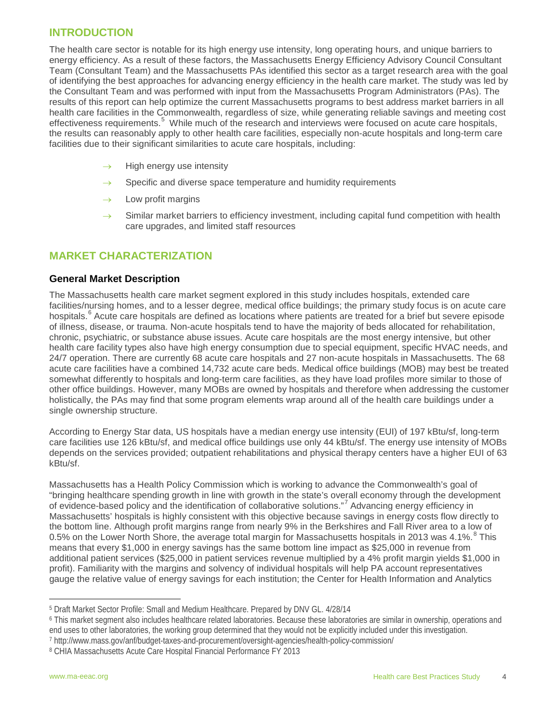# <span id="page-4-0"></span>**INTRODUCTION**

The health care sector is notable for its high energy use intensity, long operating hours, and unique barriers to energy efficiency. As a result of these factors, the Massachusetts Energy Efficiency Advisory Council Consultant Team (Consultant Team) and the Massachusetts PAs identified this sector as a target research area with the goal of identifying the best approaches for advancing energy efficiency in the health care market. The study was led by the Consultant Team and was performed with input from the Massachusetts Program Administrators (PAs). The results of this report can help optimize the current Massachusetts programs to best address market barriers in all health care facilities in the Commonwealth, regardless of size, while generating reliable savings and meeting cost effectiveness requirements.<sup>[5](#page-4-2)</sup> While much of the research and interviews were focused on acute care hospitals, the results can reasonably apply to other health care facilities, especially non-acute hospitals and long-term care facilities due to their significant similarities to acute care hospitals, including:

- $\rightarrow$  High energy use intensity
- $\rightarrow$  Specific and diverse space temperature and humidity requirements
- $\rightarrow$  Low profit margins
- $\rightarrow$  Similar market barriers to efficiency investment, including capital fund competition with health care upgrades, and limited staff resources

# <span id="page-4-1"></span>**MARKET CHARACTERIZATION**

#### **General Market Description**

The Massachusetts health care market segment explored in this study includes hospitals, extended care facilities/nursing homes, and to a lesser degree, medical office buildings; the primary study focus is on acute care hospitals.<sup>[6](#page-4-3)</sup> Acute care hospitals are defined as locations where patients are treated for a brief but severe episode of illness, disease, or trauma. Non-acute hospitals tend to have the majority of beds allocated for rehabilitation, chronic, psychiatric, or substance abuse issues. Acute care hospitals are the most energy intensive, but other health care facility types also have high energy consumption due to special equipment, specific HVAC needs, and 24/7 operation. There are currently 68 acute care hospitals and 27 non-acute hospitals in Massachusetts. The 68 acute care facilities have a combined 14,732 acute care beds. Medical office buildings (MOB) may best be treated somewhat differently to hospitals and long-term care facilities, as they have load profiles more similar to those of other office buildings. However, many MOBs are owned by hospitals and therefore when addressing the customer holistically, the PAs may find that some program elements wrap around all of the health care buildings under a single ownership structure.

According to Energy Star data, US hospitals have a median energy use intensity (EUI) of 197 kBtu/sf, long-term care facilities use 126 kBtu/sf, and medical office buildings use only 44 kBtu/sf. The energy use intensity of MOBs depends on the services provided; outpatient rehabilitations and physical therapy centers have a higher EUI of 63 kBtu/sf.

Massachusetts has a Health Policy Commission which is working to advance the Commonwealth's goal of "bringing healthcare spending growth in line with growth in the state's overall economy through the development of evidence-based policy and the identification of collaborative solutions."<sup>[7](#page-4-4)</sup> Advancing energy efficiency in Massachusetts' hospitals is highly consistent with this objective because savings in energy costs flow directly to the bottom line. Although profit margins range from nearly 9% in the Berkshires and Fall River area to a low of 0.5% on the Lower North Shore, the average total margin for Massachusetts hospitals in 2013 was 4.1%.<sup>[8](#page-4-5)</sup> This means that every \$1,000 in energy savings has the same bottom line impact as \$25,000 in revenue from additional patient services (\$25,000 in patient services revenue multiplied by a 4% profit margin yields \$1,000 in profit). Familiarity with the margins and solvency of individual hospitals will help PA account representatives gauge the relative value of energy savings for each institution; the Center for Health Information and Analytics

<span id="page-4-2"></span><sup>5</sup> Draft Market Sector Profile: Small and Medium Healthcare. Prepared by DNV GL. 4/28/14 l

<span id="page-4-3"></span><sup>6</sup> This market segment also includes healthcare related laboratories. Because these laboratories are similar in ownership, operations and end uses to other laboratories, the working group determined that they would not be explicitly included under this investigation.

<span id="page-4-4"></span><sup>7</sup> http://www.mass.gov/anf/budget-taxes-and-procurement/oversight-agencies/health-policy-commission/

<span id="page-4-5"></span><sup>8</sup> CHIA Massachusetts Acute Care Hospital Financial Performance FY 2013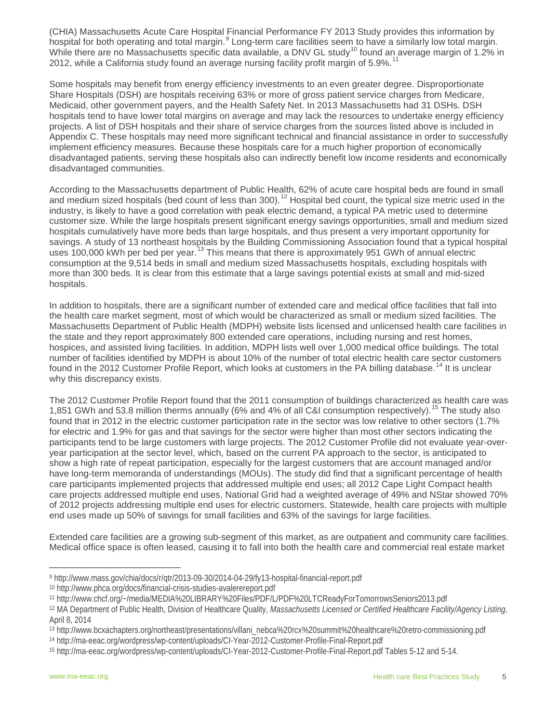(CHIA) Massachusetts Acute Care Hospital Financial Performance FY 2013 Study provides this information by hospital for both operating and total margin.<sup>[9](#page-5-0)</sup> Long-term care facilities seem to have a similarly low total margin. While there are no Massachusetts specific data available, a DNV GL study<sup>[10](#page-5-1)</sup> found an average margin of 1.2% in 2012, while a California study found an average nursing facility profit margin of 5.9%.<sup>[11](#page-5-2)</sup>

Some hospitals may benefit from energy efficiency investments to an even greater degree. Disproportionate Share Hospitals (DSH) are hospitals receiving 63% or more of gross patient service charges from Medicare, Medicaid, other government payers, and the Health Safety Net. In 2013 Massachusetts had 31 DSHs. DSH hospitals tend to have lower total margins on average and may lack the resources to undertake energy efficiency projects. A list of DSH hospitals and their share of service charges from the sources listed above is included in Appendix C. These hospitals may need more significant technical and financial assistance in order to successfully implement efficiency measures. Because these hospitals care for a much higher proportion of economically disadvantaged patients, serving these hospitals also can indirectly benefit low income residents and economically disadvantaged communities.

According to the Massachusetts department of Public Health, 62% of acute care hospital beds are found in small and medium sized hospitals (bed count of less than 300).<sup>[12](#page-5-3)</sup> Hospital bed count, the typical size metric used in the industry, is likely to have a good correlation with peak electric demand, a typical PA metric used to determine customer size. While the large hospitals present significant energy savings opportunities, small and medium sized hospitals cumulatively have more beds than large hospitals, and thus present a very important opportunity for savings. A study of 13 northeast hospitals by the Building Commissioning Association found that a typical hospital uses 100,000 kWh per bed per year.<sup>[13](#page-5-4)</sup> This means that there is approximately 951 GWh of annual electric consumption at the 9,514 beds in small and medium sized Massachusetts hospitals, excluding hospitals with more than 300 beds. It is clear from this estimate that a large savings potential exists at small and mid-sized hospitals.

In addition to hospitals, there are a significant number of extended care and medical office facilities that fall into the health care market segment, most of which would be characterized as small or medium sized facilities. The Massachusetts Department of Public Health (MDPH) website lists licensed and unlicensed health care facilities in the state and they report approximately 800 extended care operations, including nursing and rest homes, hospices, and assisted living facilities. In addition, MDPH lists well over 1,000 medical office buildings. The total number of facilities identified by MDPH is about 10% of the number of total electric health care sector customers found in the 2012 Customer Profile Report, which looks at customers in the PA billing database.<sup>[14](#page-5-5)</sup> It is unclear why this discrepancy exists.

The 2012 Customer Profile Report found that the 2011 consumption of buildings characterized as health care was 1,851 GWh and 53.8 million therms annually (6% and 4% of all C&I consumption respectively).<sup>[15](#page-5-6)</sup> The study also found that in 2012 in the electric customer participation rate in the sector was low relative to other sectors (1.7% for electric and 1.9% for gas and that savings for the sector were higher than most other sectors indicating the participants tend to be large customers with large projects. The 2012 Customer Profile did not evaluate year-overyear participation at the sector level, which, based on the current PA approach to the sector, is anticipated to show a high rate of repeat participation, especially for the largest customers that are account managed and/or have long-term memoranda of understandings (MOUs). The study did find that a significant percentage of health care participants implemented projects that addressed multiple end uses; all 2012 Cape Light Compact health care projects addressed multiple end uses, National Grid had a weighted average of 49% and NStar showed 70% of 2012 projects addressing multiple end uses for electric customers. Statewide, health care projects with multiple end uses made up 50% of savings for small facilities and 63% of the savings for large facilities.

Extended care facilities are a growing sub-segment of this market, as are outpatient and community care facilities. Medical office space is often leased, causing it to fall into both the health care and commercial real estate market

<sup>9</sup> http://www.mass.gov/chia/docs/r/qtr/2013-09-30/2014-04-29/fy13-hospital-financial-report.pdf l

<span id="page-5-1"></span><span id="page-5-0"></span><sup>10</sup> http://www.phca.org/docs/financial-crisis-studies-avalerereport.pdf

<span id="page-5-2"></span><sup>11</sup> http://www.chcf.org/~/media/MEDIA%20LIBRARY%20Files/PDF/L/PDF%20LTCReadyForTomorrowsSeniors2013.pdf

<span id="page-5-3"></span><sup>12</sup> MA Department of Public Health, Division of Healthcare Quality, *Massachusetts Licensed or Certified Healthcare Facility/Agency Listing,*  April 8, 2014

<span id="page-5-4"></span><sup>13</sup> http://www.bcxachapters.org/northeast/presentations/villani\_nebca%20rcx%20summit%20healthcare%20retro-commissioning.pdf

<span id="page-5-5"></span><sup>14</sup> http://ma-eeac.org/wordpress/wp-content/uploads/CI-Year-2012-Customer-Profile-Final-Report.pdf

<span id="page-5-6"></span><sup>15</sup> http://ma-eeac.org/wordpress/wp-content/uploads/CI-Year-2012-Customer-Profile-Final-Report.pdf Tables 5-12 and 5-14.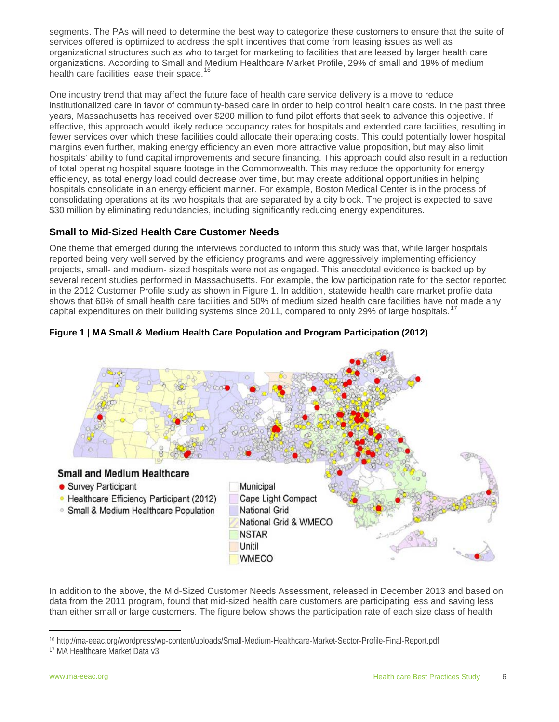segments. The PAs will need to determine the best way to categorize these customers to ensure that the suite of services offered is optimized to address the split incentives that come from leasing issues as well as organizational structures such as who to target for marketing to facilities that are leased by larger health care organizations. According to Small and Medium Healthcare Market Profile, 29% of small and 19% of medium health care facilities lease their space. [16](#page-6-0)

One industry trend that may affect the future face of health care service delivery is a move to reduce institutionalized care in favor of community-based care in order to help control health care costs. In the past three years, Massachusetts has received over \$200 million to fund pilot efforts that seek to advance this objective. If effective, this approach would likely reduce occupancy rates for hospitals and extended care facilities, resulting in fewer services over which these facilities could allocate their operating costs. This could potentially lower hospital margins even further, making energy efficiency an even more attractive value proposition, but may also limit hospitals' ability to fund capital improvements and secure financing. This approach could also result in a reduction of total operating hospital square footage in the Commonwealth. This may reduce the opportunity for energy efficiency, as total energy load could decrease over time, but may create additional opportunities in helping hospitals consolidate in an energy efficient manner. For example, Boston Medical Center is in the process of consolidating operations at its two hospitals that are separated by a city block. The project is expected to save \$30 million by eliminating redundancies, including significantly reducing energy expenditures.

# **Small to Mid-Sized Health Care Customer Needs**

One theme that emerged during the interviews conducted to inform this study was that, while larger hospitals reported being very well served by the efficiency programs and were aggressively implementing efficiency projects, small- and medium- sized hospitals were not as engaged. This anecdotal evidence is backed up by several recent studies performed in Massachusetts. For example, the low participation rate for the sector reported in the 2012 Customer Profile study as shown in Figure 1. In addition, statewide health care market profile data shows that 60% of small health care facilities and 50% of medium sized health care facilities have not made any capital expenditures on their building systems since 2011, compared to only 29% of large hospitals.<sup>[17](#page-6-1)</sup>



#### **Figure 1 | MA Small & Medium Health Care Population and Program Participation (2012)**

In addition to the above, the Mid-Sized Customer Needs Assessment, released in December 2013 and based on data from the 2011 program, found that mid-sized health care customers are participating less and saving less than either small or large customers. The figure below shows the participation rate of each size class of health

**WMECO** 

<span id="page-6-0"></span><sup>16</sup> http://ma-eeac.org/wordpress/wp-content/uploads/Small-Medium-Healthcare-Market-Sector-Profile-Final-Report.pdf j

<span id="page-6-1"></span><sup>17</sup> MA Healthcare Market Data v3.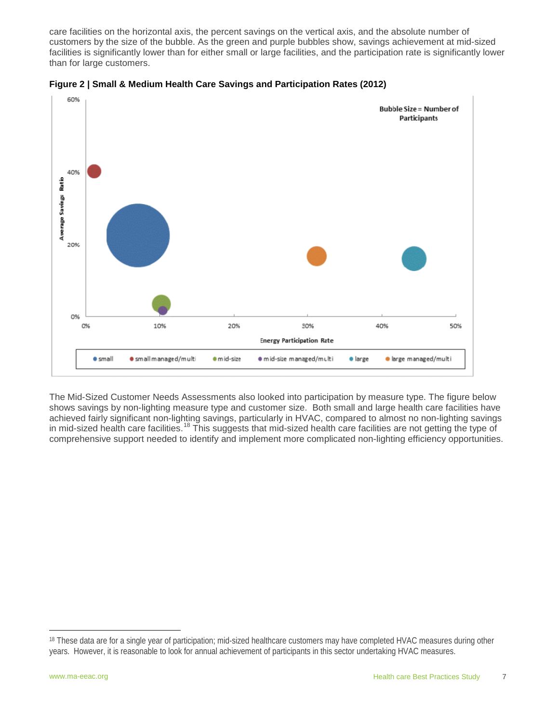care facilities on the horizontal axis, the percent savings on the vertical axis, and the absolute number of customers by the size of the bubble. As the green and purple bubbles show, savings achievement at mid-sized facilities is significantly lower than for either small or large facilities, and the participation rate is significantly lower than for large customers.





The Mid-Sized Customer Needs Assessments also looked into participation by measure type. The figure below shows savings by non-lighting measure type and customer size. Both small and large health care facilities have achieved fairly significant non-lighting savings, particularly in HVAC, compared to almost no non-lighting savings in mid-sized health care facilities.<sup>[18](#page-7-0)</sup> This suggests that mid-sized health care facilities are not getting the type of comprehensive support needed to identify and implement more complicated non-lighting efficiency opportunities.

<span id="page-7-0"></span><sup>&</sup>lt;sup>18</sup> These data are for a single year of participation; mid-sized healthcare customers may have completed HVAC measures during other years. However, it is reasonable to look for annual achievement of participants in this sector undertaking HVAC measures. j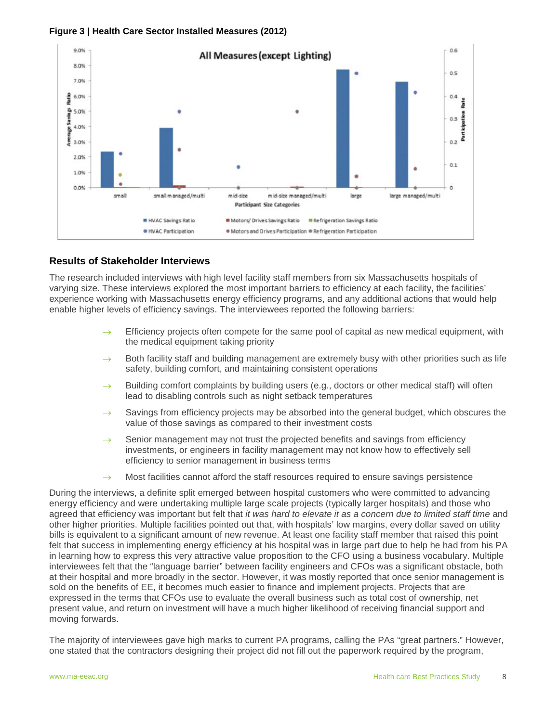#### **Figure 3 | Health Care Sector Installed Measures (2012)**



#### **Results of Stakeholder Interviews**

The research included interviews with high level facility staff members from six Massachusetts hospitals of varying size. These interviews explored the most important barriers to efficiency at each facility, the facilities' experience working with Massachusetts energy efficiency programs, and any additional actions that would help enable higher levels of efficiency savings. The interviewees reported the following barriers:

- $\rightarrow$  Efficiency projects often compete for the same pool of capital as new medical equipment, with the medical equipment taking priority
- Both facility staff and building management are extremely busy with other priorities such as life safety, building comfort, and maintaining consistent operations
- $\rightarrow$  Building comfort complaints by building users (e.g., doctors or other medical staff) will often lead to disabling controls such as night setback temperatures
- $\rightarrow$  Savings from efficiency projects may be absorbed into the general budget, which obscures the value of those savings as compared to their investment costs
- $\rightarrow$  Senior management may not trust the projected benefits and savings from efficiency investments, or engineers in facility management may not know how to effectively sell efficiency to senior management in business terms
- $\rightarrow$  Most facilities cannot afford the staff resources required to ensure savings persistence

During the interviews, a definite split emerged between hospital customers who were committed to advancing energy efficiency and were undertaking multiple large scale projects (typically larger hospitals) and those who agreed that efficiency was important but felt that *it was hard to elevate it as a concern due to limited staff time* and other higher priorities. Multiple facilities pointed out that, with hospitals' low margins, every dollar saved on utility bills is equivalent to a significant amount of new revenue. At least one facility staff member that raised this point felt that success in implementing energy efficiency at his hospital was in large part due to help he had from his PA in learning how to express this very attractive value proposition to the CFO using a business vocabulary. Multiple interviewees felt that the "language barrier" between facility engineers and CFOs was a significant obstacle, both at their hospital and more broadly in the sector. However, it was mostly reported that once senior management is sold on the benefits of EE, it becomes much easier to finance and implement projects. Projects that are expressed in the terms that CFOs use to evaluate the overall business such as total cost of ownership, net present value, and return on investment will have a much higher likelihood of receiving financial support and moving forwards.

The majority of interviewees gave high marks to current PA programs, calling the PAs "great partners." However, one stated that the contractors designing their project did not fill out the paperwork required by the program,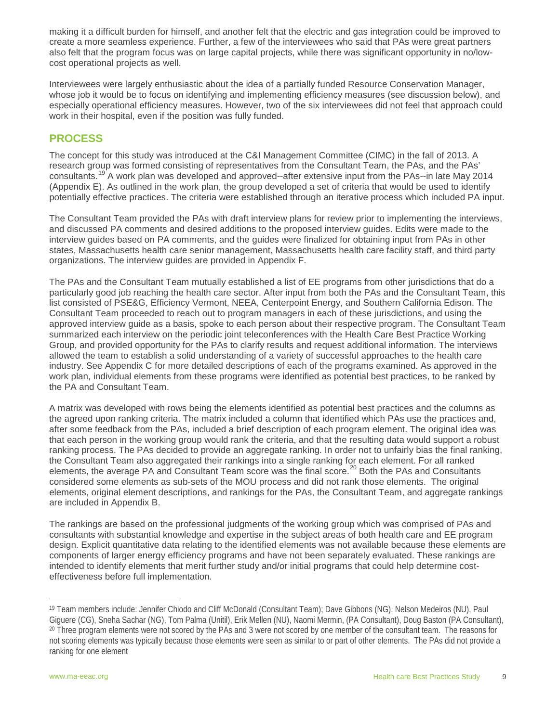making it a difficult burden for himself, and another felt that the electric and gas integration could be improved to create a more seamless experience. Further, a few of the interviewees who said that PAs were great partners also felt that the program focus was on large capital projects, while there was significant opportunity in no/lowcost operational projects as well.

Interviewees were largely enthusiastic about the idea of a partially funded Resource Conservation Manager, whose job it would be to focus on identifying and implementing efficiency measures (see discussion below), and especially operational efficiency measures. However, two of the six interviewees did not feel that approach could work in their hospital, even if the position was fully funded.

# <span id="page-9-0"></span>**PROCESS**

The concept for this study was introduced at the C&I Management Committee (CIMC) in the fall of 2013. A research group was formed consisting of representatives from the Consultant Team, the PAs, and the PAs' consultants.[19](#page-9-1) A work plan was developed and approved--after extensive input from the PAs--in late May 2014 (Appendix E). As outlined in the work plan, the group developed a set of criteria that would be used to identify potentially effective practices. The criteria were established through an iterative process which included PA input.

The Consultant Team provided the PAs with draft interview plans for review prior to implementing the interviews, and discussed PA comments and desired additions to the proposed interview guides. Edits were made to the interview guides based on PA comments, and the guides were finalized for obtaining input from PAs in other states, Massachusetts health care senior management, Massachusetts health care facility staff, and third party organizations. The interview guides are provided in Appendix F.

The PAs and the Consultant Team mutually established a list of EE programs from other jurisdictions that do a particularly good job reaching the health care sector. After input from both the PAs and the Consultant Team, this list consisted of PSE&G, Efficiency Vermont, NEEA, Centerpoint Energy, and Southern California Edison. The Consultant Team proceeded to reach out to program managers in each of these jurisdictions, and using the approved interview guide as a basis, spoke to each person about their respective program. The Consultant Team summarized each interview on the periodic joint teleconferences with the Health Care Best Practice Working Group, and provided opportunity for the PAs to clarify results and request additional information. The interviews allowed the team to establish a solid understanding of a variety of successful approaches to the health care industry. See Appendix C for more detailed descriptions of each of the programs examined. As approved in the work plan, individual elements from these programs were identified as potential best practices, to be ranked by the PA and Consultant Team.

A matrix was developed with rows being the elements identified as potential best practices and the columns as the agreed upon ranking criteria. The matrix included a column that identified which PAs use the practices and, after some feedback from the PAs, included a brief description of each program element. The original idea was that each person in the working group would rank the criteria, and that the resulting data would support a robust ranking process. The PAs decided to provide an aggregate ranking. In order not to unfairly bias the final ranking, the Consultant Team also aggregated their rankings into a single ranking for each element. For all ranked elements, the average PA and Consultant Team score was the final score.<sup>[20](#page-9-2)</sup> Both the PAs and Consultants considered some elements as sub-sets of the MOU process and did not rank those elements. The original elements, original element descriptions, and rankings for the PAs, the Consultant Team, and aggregate rankings are included in Appendix B.

The rankings are based on the professional judgments of the working group which was comprised of PAs and consultants with substantial knowledge and expertise in the subject areas of both health care and EE program design. Explicit quantitative data relating to the identified elements was not available because these elements are components of larger energy efficiency programs and have not been separately evaluated. These rankings are intended to identify elements that merit further study and/or initial programs that could help determine costeffectiveness before full implementation.

<span id="page-9-2"></span><span id="page-9-1"></span><sup>19</sup> Team members include: Jennifer Chiodo and Cliff McDonald (Consultant Team); Dave Gibbons (NG), Nelson Medeiros (NU), Paul Giguere (CG), Sneha Sachar (NG), Tom Palma (Unitil), Erik Mellen (NU), Naomi Mermin, (PA Consultant), Doug Baston (PA Consultant), <sup>20</sup> Three program elements were not scored by the PAs and 3 were not scored by one member of the consultant team. The reasons for not scoring elements was typically because those elements were seen as similar to or part of other elements. The PAs did not provide a ranking for one element j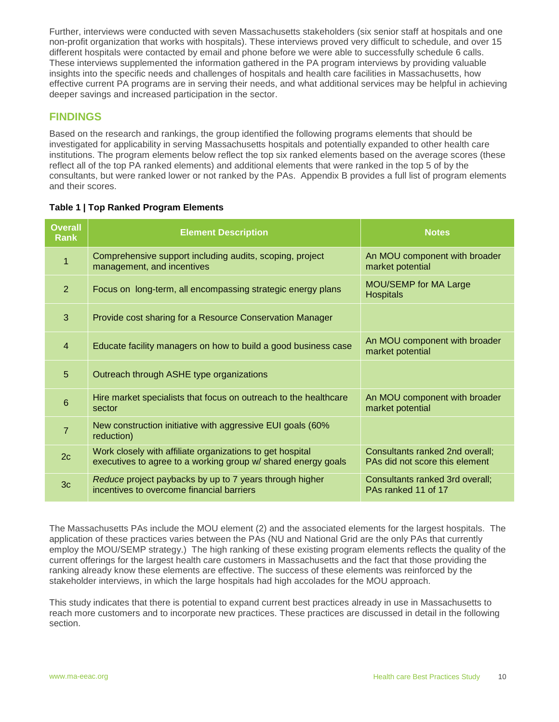Further, interviews were conducted with seven Massachusetts stakeholders (six senior staff at hospitals and one non-profit organization that works with hospitals). These interviews proved very difficult to schedule, and over 15 different hospitals were contacted by email and phone before we were able to successfully schedule 6 calls. These interviews supplemented the information gathered in the PA program interviews by providing valuable insights into the specific needs and challenges of hospitals and health care facilities in Massachusetts, how effective current PA programs are in serving their needs, and what additional services may be helpful in achieving deeper savings and increased participation in the sector.

# <span id="page-10-0"></span>**FINDINGS**

Based on the research and rankings, the group identified the following programs elements that should be investigated for applicability in serving Massachusetts hospitals and potentially expanded to other health care institutions. The program elements below reflect the top six ranked elements based on the average scores (these reflect all of the top PA ranked elements) and additional elements that were ranked in the top 5 of by the consultants, but were ranked lower or not ranked by the PAs. Appendix B provides a full list of program elements and their scores.

| <b>Overall</b><br><b>Rank</b> | <b>Element Description</b>                                                                                                 | <b>Notes</b>                                                      |
|-------------------------------|----------------------------------------------------------------------------------------------------------------------------|-------------------------------------------------------------------|
| $\overline{1}$                | Comprehensive support including audits, scoping, project<br>management, and incentives                                     | An MOU component with broader<br>market potential                 |
| 2                             | Focus on long-term, all encompassing strategic energy plans                                                                | MOU/SEMP for MA Large<br><b>Hospitals</b>                         |
| 3                             | Provide cost sharing for a Resource Conservation Manager                                                                   |                                                                   |
| $\overline{4}$                | Educate facility managers on how to build a good business case                                                             | An MOU component with broader<br>market potential                 |
| 5                             | Outreach through ASHE type organizations                                                                                   |                                                                   |
| 6                             | Hire market specialists that focus on outreach to the healthcare<br>sector                                                 | An MOU component with broader<br>market potential                 |
| $\overline{7}$                | New construction initiative with aggressive EUI goals (60%<br>reduction)                                                   |                                                                   |
| 2c                            | Work closely with affiliate organizations to get hospital<br>executives to agree to a working group w/ shared energy goals | Consultants ranked 2nd overall;<br>PAs did not score this element |
| 3 <sub>c</sub>                | Reduce project paybacks by up to 7 years through higher<br>incentives to overcome financial barriers                       | Consultants ranked 3rd overall;<br>PAs ranked 11 of 17            |

#### **Table 1 | Top Ranked Program Elements**

The Massachusetts PAs include the MOU element (2) and the associated elements for the largest hospitals. The application of these practices varies between the PAs (NU and National Grid are the only PAs that currently employ the MOU/SEMP strategy.) The high ranking of these existing program elements reflects the quality of the current offerings for the largest health care customers in Massachusetts and the fact that those providing the ranking already know these elements are effective. The success of these elements was reinforced by the stakeholder interviews, in which the large hospitals had high accolades for the MOU approach.

This study indicates that there is potential to expand current best practices already in use in Massachusetts to reach more customers and to incorporate new practices. These practices are discussed in detail in the following section.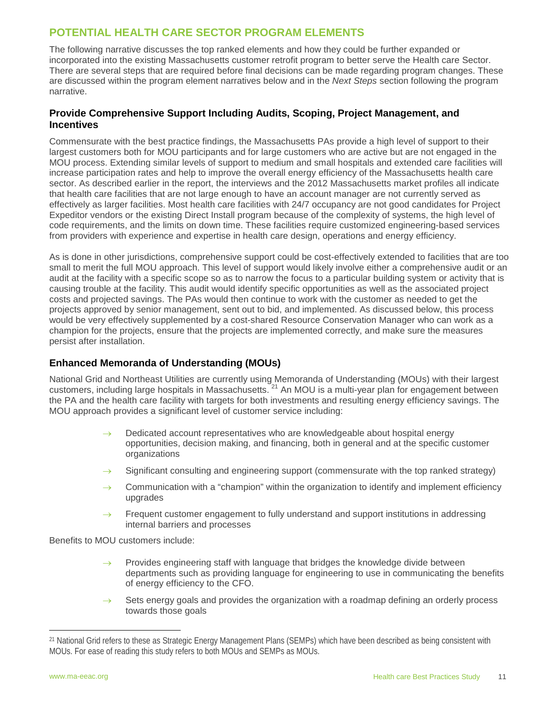# <span id="page-11-0"></span>**POTENTIAL HEALTH CARE SECTOR PROGRAM ELEMENTS**

The following narrative discusses the top ranked elements and how they could be further expanded or incorporated into the existing Massachusetts customer retrofit program to better serve the Health care Sector. There are several steps that are required before final decisions can be made regarding program changes. These are discussed within the program element narratives below and in the *Next Steps* section following the program narrative.

#### **Provide Comprehensive Support Including Audits, Scoping, Project Management, and Incentives**

Commensurate with the best practice findings, the Massachusetts PAs provide a high level of support to their largest customers both for MOU participants and for large customers who are active but are not engaged in the MOU process. Extending similar levels of support to medium and small hospitals and extended care facilities will increase participation rates and help to improve the overall energy efficiency of the Massachusetts health care sector. As described earlier in the report, the interviews and the 2012 Massachusetts market profiles all indicate that health care facilities that are not large enough to have an account manager are not currently served as effectively as larger facilities. Most health care facilities with 24/7 occupancy are not good candidates for Project Expeditor vendors or the existing Direct Install program because of the complexity of systems, the high level of code requirements, and the limits on down time. These facilities require customized engineering-based services from providers with experience and expertise in health care design, operations and energy efficiency.

As is done in other jurisdictions, comprehensive support could be cost-effectively extended to facilities that are too small to merit the full MOU approach. This level of support would likely involve either a comprehensive audit or an audit at the facility with a specific scope so as to narrow the focus to a particular building system or activity that is causing trouble at the facility. This audit would identify specific opportunities as well as the associated project costs and projected savings. The PAs would then continue to work with the customer as needed to get the projects approved by senior management, sent out to bid, and implemented. As discussed below, this process would be very effectively supplemented by a cost-shared Resource Conservation Manager who can work as a champion for the projects, ensure that the projects are implemented correctly, and make sure the measures persist after installation.

# **Enhanced Memoranda of Understanding (MOUs)**

National Grid and Northeast Utilities are currently using Memoranda of Understanding (MOUs) with their largest customers, including large hospitals in Massachusetts. [21](#page-11-1) An MOU is a multi-year plan for engagement between the PA and the health care facility with targets for both investments and resulting energy efficiency savings. The MOU approach provides a significant level of customer service including:

- Dedicated account representatives who are knowledgeable about hospital energy opportunities, decision making, and financing, both in general and at the specific customer organizations
- Significant consulting and engineering support (commensurate with the top ranked strategy)
- $\rightarrow$  Communication with a "champion" within the organization to identify and implement efficiency upgrades
- $\rightarrow$  Frequent customer engagement to fully understand and support institutions in addressing internal barriers and processes

Benefits to MOU customers include:

- $\rightarrow$  Provides engineering staff with language that bridges the knowledge divide between departments such as providing language for engineering to use in communicating the benefits of energy efficiency to the CFO.
- $\rightarrow$  Sets energy goals and provides the organization with a roadmap defining an orderly process towards those goals

<span id="page-11-1"></span><sup>21</sup> National Grid refers to these as Strategic Energy Management Plans (SEMPs) which have been described as being consistent with MOUs. For ease of reading this study refers to both MOUs and SEMPs as MOUs. l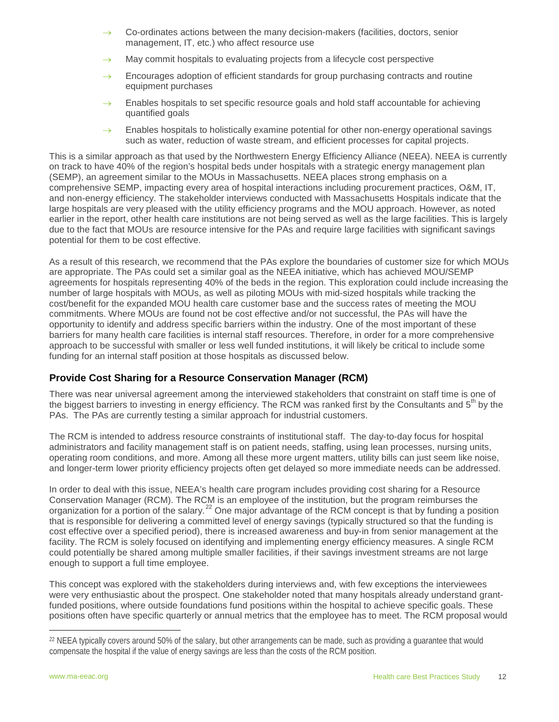- Co-ordinates actions between the many decision-makers (facilities, doctors, senior management, IT, etc.) who affect resource use
- May commit hospitals to evaluating projects from a lifecycle cost perspective
- $\rightarrow$  Encourages adoption of efficient standards for group purchasing contracts and routine equipment purchases
- Enables hospitals to set specific resource goals and hold staff accountable for achieving quantified goals
- $\rightarrow$  Enables hospitals to holistically examine potential for other non-energy operational savings such as water, reduction of waste stream, and efficient processes for capital projects.

This is a similar approach as that used by the Northwestern Energy Efficiency Alliance (NEEA). NEEA is currently on track to have 40% of the region's hospital beds under hospitals with a strategic energy management plan (SEMP), an agreement similar to the MOUs in Massachusetts. NEEA places strong emphasis on a comprehensive SEMP, impacting every area of hospital interactions including procurement practices, O&M, IT, and non-energy efficiency. The stakeholder interviews conducted with Massachusetts Hospitals indicate that the large hospitals are very pleased with the utility efficiency programs and the MOU approach. However, as noted earlier in the report, other health care institutions are not being served as well as the large facilities. This is largely due to the fact that MOUs are resource intensive for the PAs and require large facilities with significant savings potential for them to be cost effective.

As a result of this research, we recommend that the PAs explore the boundaries of customer size for which MOUs are appropriate. The PAs could set a similar goal as the NEEA initiative, which has achieved MOU/SEMP agreements for hospitals representing 40% of the beds in the region. This exploration could include increasing the number of large hospitals with MOUs, as well as piloting MOUs with mid-sized hospitals while tracking the cost/benefit for the expanded MOU health care customer base and the success rates of meeting the MOU commitments. Where MOUs are found not be cost effective and/or not successful, the PAs will have the opportunity to identify and address specific barriers within the industry. One of the most important of these barriers for many health care facilities is internal staff resources. Therefore, in order for a more comprehensive approach to be successful with smaller or less well funded institutions, it will likely be critical to include some funding for an internal staff position at those hospitals as discussed below.

# **Provide Cost Sharing for a Resource Conservation Manager (RCM)**

There was near universal agreement among the interviewed stakeholders that constraint on staff time is one of the biggest barriers to investing in energy efficiency. The RCM was ranked first by the Consultants and  $5<sup>th</sup>$  by the PAs. The PAs are currently testing a similar approach for industrial customers.

The RCM is intended to address resource constraints of institutional staff. The day-to-day focus for hospital administrators and facility management staff is on patient needs, staffing, using lean processes, nursing units, operating room conditions, and more. Among all these more urgent matters, utility bills can just seem like noise, and longer-term lower priority efficiency projects often get delayed so more immediate needs can be addressed.

In order to deal with this issue, NEEA's health care program includes providing cost sharing for a Resource Conservation Manager (RCM). The RCM is an employee of the institution, but the program reimburses the organization for a portion of the salary.<sup>[22](#page-12-0)</sup> One major advantage of the RCM concept is that by funding a position that is responsible for delivering a committed level of energy savings (typically structured so that the funding is cost effective over a specified period), there is increased awareness and buy-in from senior management at the facility. The RCM is solely focused on identifying and implementing energy efficiency measures. A single RCM could potentially be shared among multiple smaller facilities, if their savings investment streams are not large enough to support a full time employee.

This concept was explored with the stakeholders during interviews and, with few exceptions the interviewees were very enthusiastic about the prospect. One stakeholder noted that many hospitals already understand grantfunded positions, where outside foundations fund positions within the hospital to achieve specific goals. These positions often have specific quarterly or annual metrics that the employee has to meet. The RCM proposal would

<span id="page-12-0"></span><sup>&</sup>lt;sup>22</sup> NEEA typically covers around 50% of the salary, but other arrangements can be made, such as providing a guarantee that would compensate the hospital if the value of energy savings are less than the costs of the RCM position. l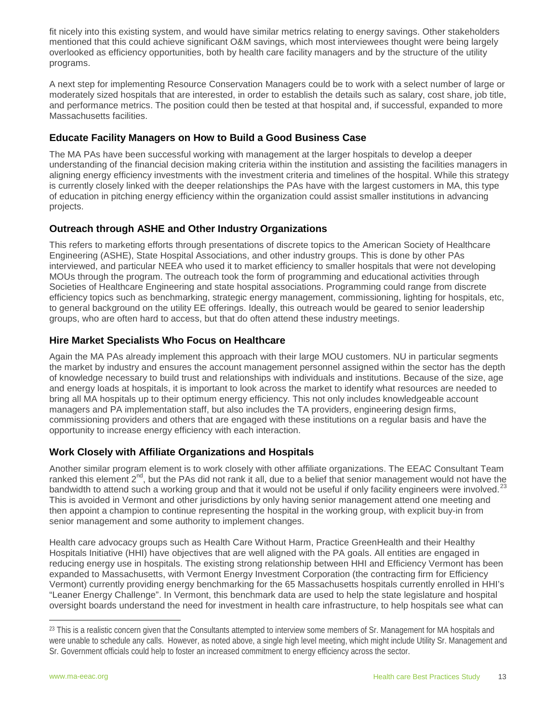fit nicely into this existing system, and would have similar metrics relating to energy savings. Other stakeholders mentioned that this could achieve significant O&M savings, which most interviewees thought were being largely overlooked as efficiency opportunities, both by health care facility managers and by the structure of the utility programs.

A next step for implementing Resource Conservation Managers could be to work with a select number of large or moderately sized hospitals that are interested, in order to establish the details such as salary, cost share, job title, and performance metrics. The position could then be tested at that hospital and, if successful, expanded to more Massachusetts facilities.

# **Educate Facility Managers on How to Build a Good Business Case**

The MA PAs have been successful working with management at the larger hospitals to develop a deeper understanding of the financial decision making criteria within the institution and assisting the facilities managers in aligning energy efficiency investments with the investment criteria and timelines of the hospital. While this strategy is currently closely linked with the deeper relationships the PAs have with the largest customers in MA, this type of education in pitching energy efficiency within the organization could assist smaller institutions in advancing projects.

# **Outreach through ASHE and Other Industry Organizations**

This refers to marketing efforts through presentations of discrete topics to the American Society of Healthcare Engineering (ASHE), State Hospital Associations, and other industry groups. This is done by other PAs interviewed, and particular NEEA who used it to market efficiency to smaller hospitals that were not developing MOUs through the program. The outreach took the form of programming and educational activities through Societies of Healthcare Engineering and state hospital associations. Programming could range from discrete efficiency topics such as benchmarking, strategic energy management, commissioning, lighting for hospitals, etc, to general background on the utility EE offerings. Ideally, this outreach would be geared to senior leadership groups, who are often hard to access, but that do often attend these industry meetings.

# **Hire Market Specialists Who Focus on Healthcare**

Again the MA PAs already implement this approach with their large MOU customers. NU in particular segments the market by industry and ensures the account management personnel assigned within the sector has the depth of knowledge necessary to build trust and relationships with individuals and institutions. Because of the size, age and energy loads at hospitals, it is important to look across the market to identify what resources are needed to bring all MA hospitals up to their optimum energy efficiency. This not only includes knowledgeable account managers and PA implementation staff, but also includes the TA providers, engineering design firms, commissioning providers and others that are engaged with these institutions on a regular basis and have the opportunity to increase energy efficiency with each interaction.

# **Work Closely with Affiliate Organizations and Hospitals**

Another similar program element is to work closely with other affiliate organizations. The EEAC Consultant Team ranked this element 2<sup>nd</sup>, but the PAs did not rank it all, due to a belief that senior management would not have the bandwidth to attend such a working group and that it would not be useful if only facility engineers were involved.<sup>[23](#page-13-0)</sup> This is avoided in Vermont and other jurisdictions by only having senior management attend one meeting and then appoint a champion to continue representing the hospital in the working group, with explicit buy-in from senior management and some authority to implement changes.

Health care advocacy groups such as Health Care Without Harm, Practice GreenHealth and their Healthy Hospitals Initiative (HHI) have objectives that are well aligned with the PA goals. All entities are engaged in reducing energy use in hospitals. The existing strong relationship between HHI and Efficiency Vermont has been expanded to Massachusetts, with Vermont Energy Investment Corporation (the contracting firm for Efficiency Vermont) currently providing energy benchmarking for the 65 Massachusetts hospitals currently enrolled in HHI's "Leaner Energy Challenge". In Vermont, this benchmark data are used to help the state legislature and hospital oversight boards understand the need for investment in health care infrastructure, to help hospitals see what can

<span id="page-13-0"></span><sup>&</sup>lt;sup>23</sup> This is a realistic concern given that the Consultants attempted to interview some members of Sr. Management for MA hospitals and were unable to schedule any calls. However, as noted above, a single high level meeting, which might include Utility Sr. Management and Sr. Government officials could help to foster an increased commitment to energy efficiency across the sector. l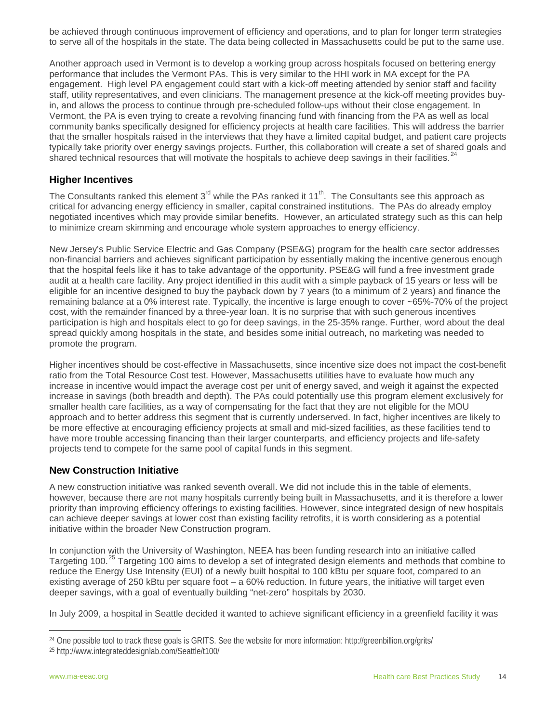be achieved through continuous improvement of efficiency and operations, and to plan for longer term strategies to serve all of the hospitals in the state. The data being collected in Massachusetts could be put to the same use.

Another approach used in Vermont is to develop a working group across hospitals focused on bettering energy performance that includes the Vermont PAs. This is very similar to the HHI work in MA except for the PA engagement. High level PA engagement could start with a kick-off meeting attended by senior staff and facility staff, utility representatives, and even clinicians. The management presence at the kick-off meeting provides buyin, and allows the process to continue through pre-scheduled follow-ups without their close engagement. In Vermont, the PA is even trying to create a revolving financing fund with financing from the PA as well as local community banks specifically designed for efficiency projects at health care facilities. This will address the barrier that the smaller hospitals raised in the interviews that they have a limited capital budget, and patient care projects typically take priority over energy savings projects. Further, this collaboration will create a set of shared goals and shared technical resources that will motivate the hospitals to achieve deep savings in their facilities.<sup>[24](#page-14-0)</sup>

#### **Higher Incentives**

The Consultants ranked this element  $3^{rd}$  while the PAs ranked it 11<sup>th</sup>. The Consultants see this approach as critical for advancing energy efficiency in smaller, capital constrained institutions. The PAs do already employ negotiated incentives which may provide similar benefits. However, an articulated strategy such as this can help to minimize cream skimming and encourage whole system approaches to energy efficiency.

New Jersey's Public Service Electric and Gas Company (PSE&G) program for the health care sector addresses non-financial barriers and achieves significant participation by essentially making the incentive generous enough that the hospital feels like it has to take advantage of the opportunity. PSE&G will fund a free investment grade audit at a health care facility. Any project identified in this audit with a simple payback of 15 years or less will be eligible for an incentive designed to buy the payback down by 7 years (to a minimum of 2 years) and finance the remaining balance at a 0% interest rate. Typically, the incentive is large enough to cover ~65%-70% of the project cost, with the remainder financed by a three-year loan. It is no surprise that with such generous incentives participation is high and hospitals elect to go for deep savings, in the 25-35% range. Further, word about the deal spread quickly among hospitals in the state, and besides some initial outreach, no marketing was needed to promote the program.

Higher incentives should be cost-effective in Massachusetts, since incentive size does not impact the cost-benefit ratio from the Total Resource Cost test. However, Massachusetts utilities have to evaluate how much any increase in incentive would impact the average cost per unit of energy saved, and weigh it against the expected increase in savings (both breadth and depth). The PAs could potentially use this program element exclusively for smaller health care facilities, as a way of compensating for the fact that they are not eligible for the MOU approach and to better address this segment that is currently underserved. In fact, higher incentives are likely to be more effective at encouraging efficiency projects at small and mid-sized facilities, as these facilities tend to have more trouble accessing financing than their larger counterparts, and efficiency projects and life-safety projects tend to compete for the same pool of capital funds in this segment.

#### **New Construction Initiative**

A new construction initiative was ranked seventh overall. We did not include this in the table of elements, however, because there are not many hospitals currently being built in Massachusetts, and it is therefore a lower priority than improving efficiency offerings to existing facilities. However, since integrated design of new hospitals can achieve deeper savings at lower cost than existing facility retrofits, it is worth considering as a potential initiative within the broader New Construction program.

In conjunction with the University of Washington, NEEA has been funding research into an initiative called Targeting 100.<sup>[25](#page-14-1)</sup> Targeting 100 aims to develop a set of integrated design elements and methods that combine to reduce the Energy Use Intensity (EUI) of a newly built hospital to 100 kBtu per square foot, compared to an existing average of 250 kBtu per square foot  $-$  a 60% reduction. In future years, the initiative will target even deeper savings, with a goal of eventually building "net-zero" hospitals by 2030.

In July 2009, a hospital in Seattle decided it wanted to achieve significant efficiency in a greenfield facility it was

<span id="page-14-0"></span><sup>24</sup> One possible tool to track these goals is GRITS. See the website for more information: http://greenbillion.org/grits/ l

<span id="page-14-1"></span><sup>25</sup> http://www.integrateddesignlab.com/Seattle/t100/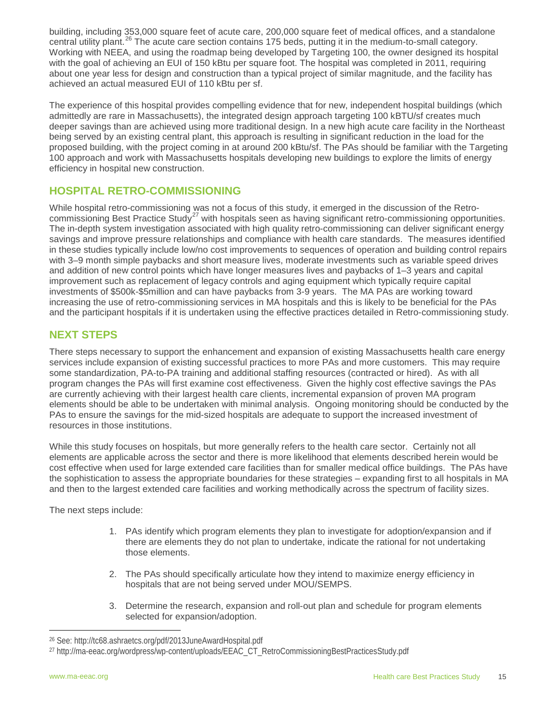building, including 353,000 square feet of acute care, 200,000 square feet of medical offices, and a standalone central utility plant.<sup>[26](#page-15-2)</sup> The acute care section contains 175 beds, putting it in the medium-to-small category. Working with NEEA, and using the roadmap being developed by Targeting 100, the owner designed its hospital with the goal of achieving an EUI of 150 kBtu per square foot. The hospital was completed in 2011, requiring about one year less for design and construction than a typical project of similar magnitude, and the facility has achieved an actual measured EUI of 110 kBtu per sf.

The experience of this hospital provides compelling evidence that for new, independent hospital buildings (which admittedly are rare in Massachusetts), the integrated design approach targeting 100 kBTU/sf creates much deeper savings than are achieved using more traditional design. In a new high acute care facility in the Northeast being served by an existing central plant, this approach is resulting in significant reduction in the load for the proposed building, with the project coming in at around 200 kBtu/sf. The PAs should be familiar with the Targeting 100 approach and work with Massachusetts hospitals developing new buildings to explore the limits of energy efficiency in hospital new construction.

# <span id="page-15-0"></span>**HOSPITAL RETRO-COMMISSIONING**

While hospital retro-commissioning was not a focus of this study, it emerged in the discussion of the Retro-commissioning Best Practice Study<sup>[27](#page-15-3)</sup> with hospitals seen as having significant retro-commissioning opportunities. The in-depth system investigation associated with high quality retro-commissioning can deliver significant energy savings and improve pressure relationships and compliance with health care standards. The measures identified in these studies typically include low/no cost improvements to sequences of operation and building control repairs with 3–9 month simple paybacks and short measure lives, moderate investments such as variable speed drives and addition of new control points which have longer measures lives and paybacks of 1–3 years and capital improvement such as replacement of legacy controls and aging equipment which typically require capital investments of \$500k-\$5million and can have paybacks from 3-9 years. The MA PAs are working toward increasing the use of retro-commissioning services in MA hospitals and this is likely to be beneficial for the PAs and the participant hospitals if it is undertaken using the effective practices detailed in Retro-commissioning study.

# <span id="page-15-1"></span>**NEXT STEPS**

There steps necessary to support the enhancement and expansion of existing Massachusetts health care energy services include expansion of existing successful practices to more PAs and more customers. This may require some standardization, PA-to-PA training and additional staffing resources (contracted or hired). As with all program changes the PAs will first examine cost effectiveness. Given the highly cost effective savings the PAs are currently achieving with their largest health care clients, incremental expansion of proven MA program elements should be able to be undertaken with minimal analysis. Ongoing monitoring should be conducted by the PAs to ensure the savings for the mid-sized hospitals are adequate to support the increased investment of resources in those institutions.

While this study focuses on hospitals, but more generally refers to the health care sector. Certainly not all elements are applicable across the sector and there is more likelihood that elements described herein would be cost effective when used for large extended care facilities than for smaller medical office buildings. The PAs have the sophistication to assess the appropriate boundaries for these strategies – expanding first to all hospitals in MA and then to the largest extended care facilities and working methodically across the spectrum of facility sizes.

The next steps include:

- 1. PAs identify which program elements they plan to investigate for adoption/expansion and if there are elements they do not plan to undertake, indicate the rational for not undertaking those elements.
- 2. The PAs should specifically articulate how they intend to maximize energy efficiency in hospitals that are not being served under MOU/SEMPS.
- 3. Determine the research, expansion and roll-out plan and schedule for program elements selected for expansion/adoption.

<span id="page-15-2"></span><sup>26</sup> See: http://tc68.ashraetcs.org/pdf/2013JuneAwardHospital.pdf l

<span id="page-15-3"></span><sup>27</sup> http://ma-eeac.org/wordpress/wp-content/uploads/EEAC\_CT\_RetroCommissioningBestPracticesStudy.pdf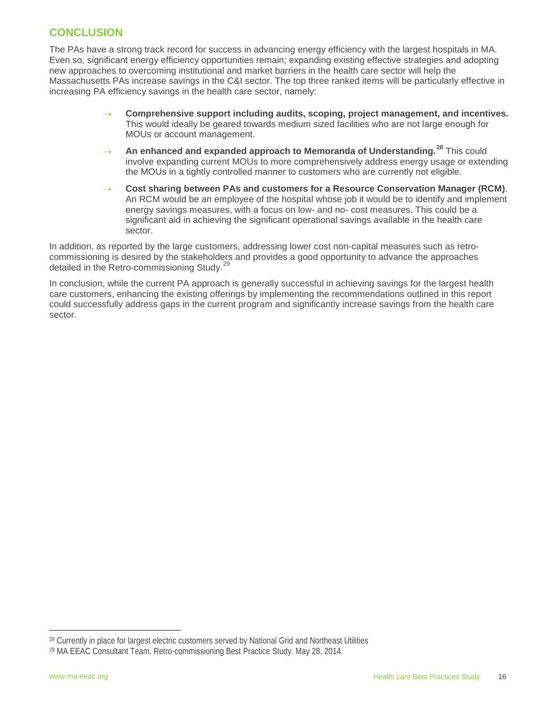# <span id="page-16-0"></span>**CONCLUSION**

The PAs have a strong track record for success in advancing energy efficiency with the largest hospitals in MA. Even so, significant energy efficiency opportunities remain; expanding existing effective strategies and adopting new approaches to overcoming institutional and market barriers in the health care sector will help the Massachusetts PAs increase savings in the C&I sector. The top three ranked items will be particularly effective in increasing PA efficiency savings in the health care sector, namely:

- Comprehensive support including audits, scoping, project management, and incentives. This would ideally be geared towards medium sized facilities who are not large enough for MOUs or account management.
- An enhanced and expanded approach to Memoranda of Understanding.<sup>[28](#page-16-1)</sup> This could involve expanding current MOUs to more comprehensively address energy usage or extending the MOUs in a tightly controlled manner to customers who are currently not eligible.
- Cost sharing between PAs and customers for a Resource Conservation Manager (RCM). An RCM would be an employee of the hospital whose job it would be to identify and implement energy savings measures, with a focus on low- and no- cost measures. This could be a significant aid in achieving the significant operational savings available in the health care sector.

In addition, as reported by the large customers, addressing lower cost non-capital measures such as retrocommissioning is desired by the stakeholders and provides a good opportunity to advance the approaches detailed in the Retro-commissioning Study.<sup>[29](#page-16-2)</sup>

In conclusion, while the current PA approach is generally successful in achieving savings for the largest health care customers, enhancing the existing offerings by implementing the recommendations outlined in this report could successfully address gaps in the current program and significantly increase savings from the health care sector.

<span id="page-16-1"></span><sup>&</sup>lt;sup>28</sup> Currently in place for largest electric customers served by National Grid and Northeast Utilities l

<span id="page-16-2"></span><sup>29</sup> MA EEAC Consultant Team. Retro-commissioning Best Practice Study. May 28, 2014.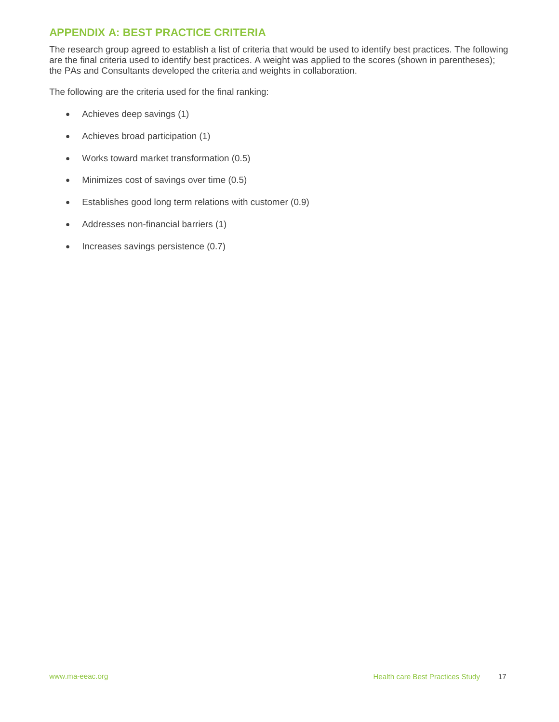# <span id="page-17-0"></span>**APPENDIX A: BEST PRACTICE CRITERIA**

The research group agreed to establish a list of criteria that would be used to identify best practices. The following are the final criteria used to identify best practices. A weight was applied to the scores (shown in parentheses); the PAs and Consultants developed the criteria and weights in collaboration.

The following are the criteria used for the final ranking:

- Achieves deep savings (1)
- Achieves broad participation (1)
- Works toward market transformation (0.5)
- Minimizes cost of savings over time (0.5)
- Establishes good long term relations with customer (0.9)
- Addresses non-financial barriers (1)
- Increases savings persistence (0.7)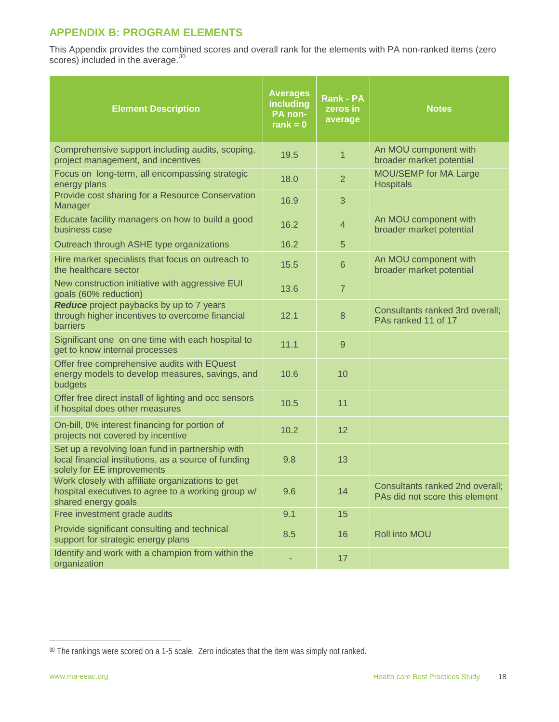# <span id="page-18-0"></span>**APPENDIX B: PROGRAM ELEMENTS**

This Appendix provides the combined scores and overall rank for the elements with PA non-ranked items (zero scores) included in the average.<sup>[30](#page-18-1)</sup>

| <b>Element Description</b>                                                                                                             | <b>Averages</b><br>including<br>PA non-<br>rank = $0$ | <b>Rank - PA</b><br>zeros in<br>average | <b>Notes</b>                                                      |
|----------------------------------------------------------------------------------------------------------------------------------------|-------------------------------------------------------|-----------------------------------------|-------------------------------------------------------------------|
| Comprehensive support including audits, scoping,<br>project management, and incentives                                                 | 19.5                                                  | $\mathbf{1}$                            | An MOU component with<br>broader market potential                 |
| Focus on long-term, all encompassing strategic<br>energy plans                                                                         | 18.0                                                  | $\overline{2}$                          | MOU/SEMP for MA Large<br><b>Hospitals</b>                         |
| Provide cost sharing for a Resource Conservation<br>Manager                                                                            | 16.9                                                  | 3                                       |                                                                   |
| Educate facility managers on how to build a good<br>business case                                                                      | 16.2                                                  | $\overline{4}$                          | An MOU component with<br>broader market potential                 |
| Outreach through ASHE type organizations                                                                                               | 16.2                                                  | 5                                       |                                                                   |
| Hire market specialists that focus on outreach to<br>the healthcare sector                                                             | 15.5                                                  | $6\phantom{1}$                          | An MOU component with<br>broader market potential                 |
| New construction initiative with aggressive EUI<br>goals (60% reduction)                                                               | 13.6                                                  | $\overline{7}$                          |                                                                   |
| Reduce project paybacks by up to 7 years<br>through higher incentives to overcome financial<br>barriers                                | 12.1                                                  | 8                                       | Consultants ranked 3rd overall;<br>PAs ranked 11 of 17            |
| Significant one on one time with each hospital to<br>get to know internal processes                                                    | 11.1                                                  | 9                                       |                                                                   |
| Offer free comprehensive audits with EQuest<br>energy models to develop measures, savings, and<br>budgets                              | 10.6                                                  | 10                                      |                                                                   |
| Offer free direct install of lighting and occ sensors<br>if hospital does other measures                                               | 10.5                                                  | 11                                      |                                                                   |
| On-bill, 0% interest financing for portion of<br>projects not covered by incentive                                                     | 10.2                                                  | 12                                      |                                                                   |
| Set up a revolving loan fund in partnership with<br>local financial institutions, as a source of funding<br>solely for EE improvements | 9.8                                                   | 13                                      |                                                                   |
| Work closely with affiliate organizations to get<br>hospital executives to agree to a working group w/<br>shared energy goals          | 9.6                                                   | 14                                      | Consultants ranked 2nd overall;<br>PAs did not score this element |
| Free investment grade audits                                                                                                           | 9.1                                                   | 15                                      |                                                                   |
| Provide significant consulting and technical<br>support for strategic energy plans                                                     | 8.5                                                   | 16                                      | Roll into MOU                                                     |
| Identify and work with a champion from within the<br>organization                                                                      |                                                       | 17                                      |                                                                   |

<span id="page-18-1"></span><sup>&</sup>lt;sup>30</sup> The rankings were scored on a 1-5 scale. Zero indicates that the item was simply not ranked. j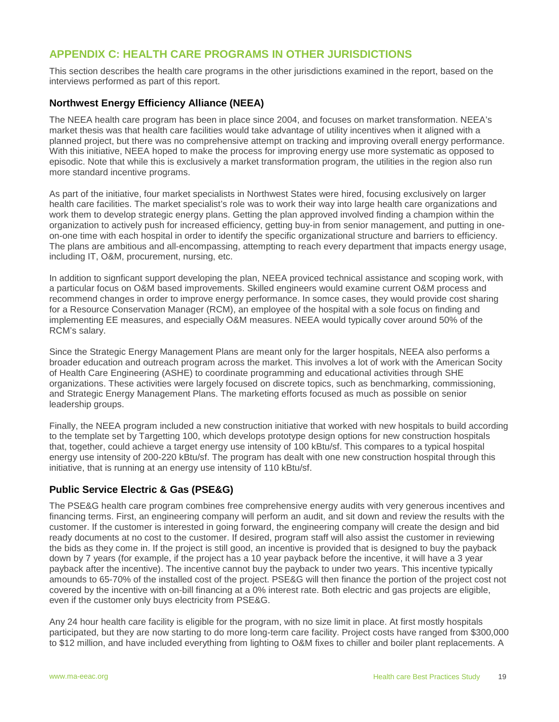# <span id="page-19-0"></span>**APPENDIX C: HEALTH CARE PROGRAMS IN OTHER JURISDICTIONS**

This section describes the health care programs in the other jurisdictions examined in the report, based on the interviews performed as part of this report.

#### **Northwest Energy Efficiency Alliance (NEEA)**

The NEEA health care program has been in place since 2004, and focuses on market transformation. NEEA's market thesis was that health care facilities would take advantage of utility incentives when it aligned with a planned project, but there was no comprehensive attempt on tracking and improving overall energy performance. With this initiative, NEEA hoped to make the process for improving energy use more systematic as opposed to episodic. Note that while this is exclusively a market transformation program, the utilities in the region also run more standard incentive programs.

As part of the initiative, four market specialists in Northwest States were hired, focusing exclusively on larger health care facilities. The market specialist's role was to work their way into large health care organizations and work them to develop strategic energy plans. Getting the plan approved involved finding a champion within the organization to actively push for increased efficiency, getting buy-in from senior management, and putting in oneon-one time with each hospital in order to identify the specific organizational structure and barriers to efficiency. The plans are ambitious and all-encompassing, attempting to reach every department that impacts energy usage, including IT, O&M, procurement, nursing, etc.

In addition to signficant support developing the plan, NEEA proviced technical assistance and scoping work, with a particular focus on O&M based improvements. Skilled engineers would examine current O&M process and recommend changes in order to improve energy performance. In somce cases, they would provide cost sharing for a Resource Conservation Manager (RCM), an employee of the hospital with a sole focus on finding and implementing EE measures, and especially O&M measures. NEEA would typically cover around 50% of the RCM's salary.

Since the Strategic Energy Management Plans are meant only for the larger hospitals, NEEA also performs a broader education and outreach program across the market. This involves a lot of work with the American Socity of Health Care Engineering (ASHE) to coordinate programming and educational activities through SHE organizations. These activities were largely focused on discrete topics, such as benchmarking, commissioning, and Strategic Energy Management Plans. The marketing efforts focused as much as possible on senior leadership groups.

Finally, the NEEA program included a new construction initiative that worked with new hospitals to build according to the template set by Targetting 100, which develops prototype design options for new construction hospitals that, together, could achieve a target energy use intensity of 100 kBtu/sf. This compares to a typical hospital energy use intensity of 200-220 kBtu/sf. The program has dealt with one new construction hospital through this initiative, that is running at an energy use intensity of 110 kBtu/sf.

#### **Public Service Electric & Gas (PSE&G)**

The PSE&G health care program combines free comprehensive energy audits with very generous incentives and financing terms. First, an engineering company will perform an audit, and sit down and review the results with the customer. If the customer is interested in going forward, the engineering company will create the design and bid ready documents at no cost to the customer. If desired, program staff will also assist the customer in reviewing the bids as they come in. If the project is still good, an incentive is provided that is designed to buy the payback down by 7 years (for example, if the project has a 10 year payback before the incentive, it will have a 3 year payback after the incentive). The incentive cannot buy the payback to under two years. This incentive typically amounds to 65-70% of the installed cost of the project. PSE&G will then finance the portion of the project cost not covered by the incentive with on-bill financing at a 0% interest rate. Both electric and gas projects are eligible, even if the customer only buys electricity from PSE&G.

Any 24 hour health care facility is eligible for the program, with no size limit in place. At first mostly hospitals participated, but they are now starting to do more long-term care facility. Project costs have ranged from \$300,000 to \$12 million, and have included everything from lighting to O&M fixes to chiller and boiler plant replacements. A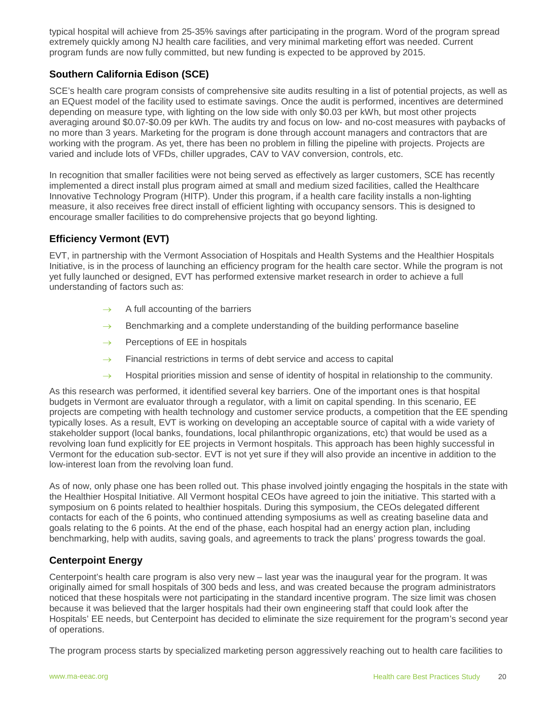typical hospital will achieve from 25-35% savings after participating in the program. Word of the program spread extremely quickly among NJ health care facilities, and very minimal marketing effort was needed. Current program funds are now fully committed, but new funding is expected to be approved by 2015.

# **Southern California Edison (SCE)**

SCE's health care program consists of comprehensive site audits resulting in a list of potential projects, as well as an EQuest model of the facility used to estimate savings. Once the audit is performed, incentives are determined depending on measure type, with lighting on the low side with only \$0.03 per kWh, but most other projects averaging around \$0.07-\$0.09 per kWh. The audits try and focus on low- and no-cost measures with paybacks of no more than 3 years. Marketing for the program is done through account managers and contractors that are working with the program. As yet, there has been no problem in filling the pipeline with projects. Projects are varied and include lots of VFDs, chiller upgrades, CAV to VAV conversion, controls, etc.

In recognition that smaller facilities were not being served as effectively as larger customers, SCE has recently implemented a direct install plus program aimed at small and medium sized facilities, called the Healthcare Innovative Technology Program (HITP). Under this program, if a health care facility installs a non-lighting measure, it also receives free direct install of efficient lighting with occupancy sensors. This is designed to encourage smaller facilities to do comprehensive projects that go beyond lighting.

# **Efficiency Vermont (EVT)**

EVT, in partnership with the Vermont Association of Hospitals and Health Systems and the Healthier Hospitals Initiative, is in the process of launching an efficiency program for the health care sector. While the program is not yet fully launched or designed, EVT has performed extensive market research in order to achieve a full understanding of factors such as:

- $\rightarrow$  A full accounting of the barriers
- $\rightarrow$  Benchmarking and a complete understanding of the building performance baseline
- $\rightarrow$  Perceptions of EE in hospitals
- $\rightarrow$  Financial restrictions in terms of debt service and access to capital
- $\rightarrow$  Hospital priorities mission and sense of identity of hospital in relationship to the community.

As this research was performed, it identified several key barriers. One of the important ones is that hospital budgets in Vermont are evaluator through a regulator, with a limit on capital spending. In this scenario, EE projects are competing with health technology and customer service products, a competition that the EE spending typically loses. As a result, EVT is working on developing an acceptable source of capital with a wide variety of stakeholder support (local banks, foundations, local philanthropic organizations, etc) that would be used as a revolving loan fund explicitly for EE projects in Vermont hospitals. This approach has been highly successful in Vermont for the education sub-sector. EVT is not yet sure if they will also provide an incentive in addition to the low-interest loan from the revolving loan fund.

As of now, only phase one has been rolled out. This phase involved jointly engaging the hospitals in the state with the Healthier Hospital Initiative. All Vermont hospital CEOs have agreed to join the initiative. This started with a symposium on 6 points related to healthier hospitals. During this symposium, the CEOs delegated different contacts for each of the 6 points, who continued attending symposiums as well as creating baseline data and goals relating to the 6 points. At the end of the phase, each hospital had an energy action plan, including benchmarking, help with audits, saving goals, and agreements to track the plans' progress towards the goal.

# **Centerpoint Energy**

Centerpoint's health care program is also very new – last year was the inaugural year for the program. It was originally aimed for small hospitals of 300 beds and less, and was created because the program administrators noticed that these hospitals were not participating in the standard incentive program. The size limit was chosen because it was believed that the larger hospitals had their own engineering staff that could look after the Hospitals' EE needs, but Centerpoint has decided to eliminate the size requirement for the program's second year of operations.

The program process starts by specialized marketing person aggressively reaching out to health care facilities to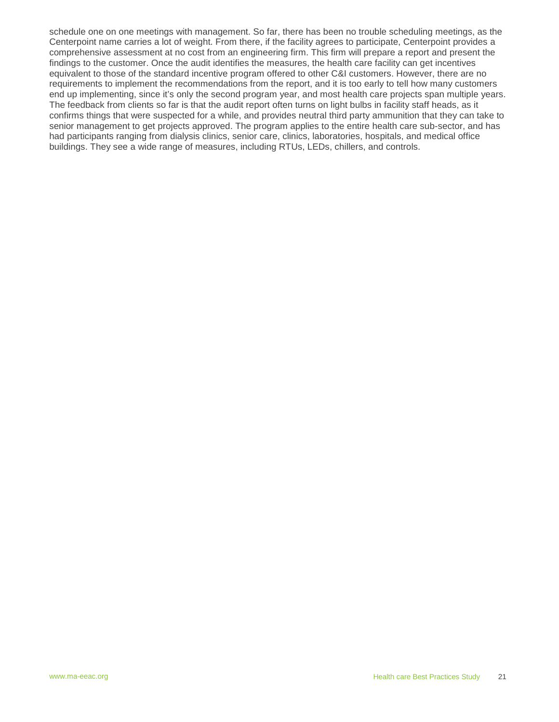schedule one on one meetings with management. So far, there has been no trouble scheduling meetings, as the Centerpoint name carries a lot of weight. From there, if the facility agrees to participate, Centerpoint provides a comprehensive assessment at no cost from an engineering firm. This firm will prepare a report and present the findings to the customer. Once the audit identifies the measures, the health care facility can get incentives equivalent to those of the standard incentive program offered to other C&I customers. However, there are no requirements to implement the recommendations from the report, and it is too early to tell how many customers end up implementing, since it's only the second program year, and most health care projects span multiple years. The feedback from clients so far is that the audit report often turns on light bulbs in facility staff heads, as it confirms things that were suspected for a while, and provides neutral third party ammunition that they can take to senior management to get projects approved. The program applies to the entire health care sub-sector, and has had participants ranging from dialysis clinics, senior care, clinics, laboratories, hospitals, and medical office buildings. They see a wide range of measures, including RTUs, LEDs, chillers, and controls.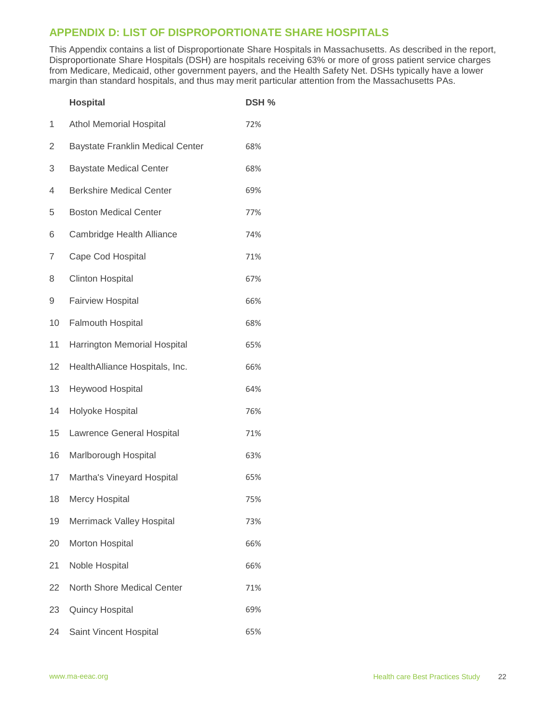# <span id="page-22-0"></span>**APPENDIX D: LIST OF DISPROPORTIONATE SHARE HOSPITALS**

This Appendix contains a list of Disproportionate Share Hospitals in Massachusetts. As described in the report, Disproportionate Share Hospitals (DSH) are hospitals receiving 63% or more of gross patient service charges from Medicare, Medicaid, other government payers, and the Health Safety Net. DSHs typically have a lower margin than standard hospitals, and thus may merit particular attention from the Massachusetts PAs.

|                | <b>Hospital</b>                         | DSH % |
|----------------|-----------------------------------------|-------|
| 1              | <b>Athol Memorial Hospital</b>          | 72%   |
| $\overline{2}$ | <b>Baystate Franklin Medical Center</b> | 68%   |
| 3              | <b>Baystate Medical Center</b>          | 68%   |
| 4              | <b>Berkshire Medical Center</b>         | 69%   |
| 5              | <b>Boston Medical Center</b>            | 77%   |
| 6              | Cambridge Health Alliance               | 74%   |
| 7              | Cape Cod Hospital                       | 71%   |
| 8              | <b>Clinton Hospital</b>                 | 67%   |
| 9              | <b>Fairview Hospital</b>                | 66%   |
| 10             | Falmouth Hospital                       | 68%   |
| 11             | Harrington Memorial Hospital            | 65%   |
| 12             | HealthAlliance Hospitals, Inc.          | 66%   |
| 13             | Heywood Hospital                        | 64%   |
| 14             | Holyoke Hospital                        | 76%   |
| 15             | Lawrence General Hospital               | 71%   |
| 16             | Marlborough Hospital                    | 63%   |
| 17             | Martha's Vineyard Hospital              | 65%   |
| 18             | <b>Mercy Hospital</b>                   | 75%   |
| 19             | Merrimack Valley Hospital               | 73%   |
| 20             | Morton Hospital                         | 66%   |
| 21             | Noble Hospital                          | 66%   |
| 22             | North Shore Medical Center              | 71%   |
| 23             | <b>Quincy Hospital</b>                  | 69%   |
| 24             | Saint Vincent Hospital                  | 65%   |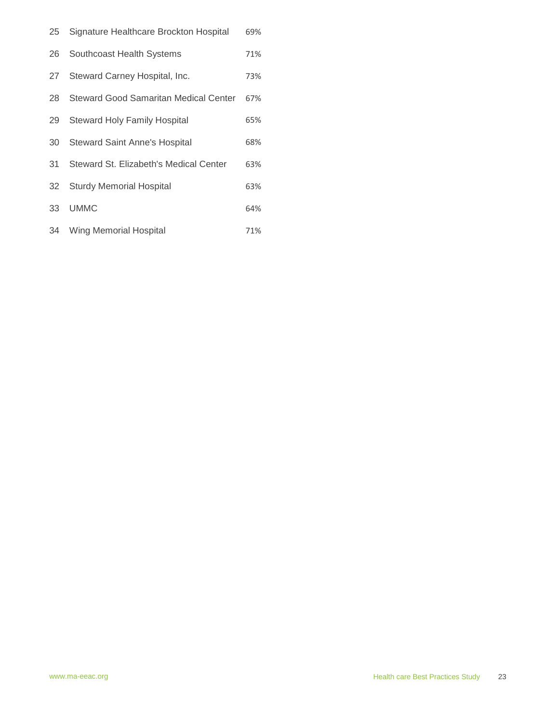|    | 25 Signature Healthcare Brockton Hospital    | 69% |
|----|----------------------------------------------|-----|
| 26 | Southcoast Health Systems                    | 71% |
| 27 | Steward Carney Hospital, Inc.                | 73% |
| 28 | <b>Steward Good Samaritan Medical Center</b> | 67% |
| 29 | <b>Steward Holy Family Hospital</b>          | 65% |
| 30 | <b>Steward Saint Anne's Hospital</b>         | 68% |
| 31 | Steward St. Elizabeth's Medical Center       | 63% |
| 32 | <b>Sturdy Memorial Hospital</b>              | 63% |
| 33 | <b>UMMC</b>                                  | 64% |
|    | 34 Wing Memorial Hospital                    | 71% |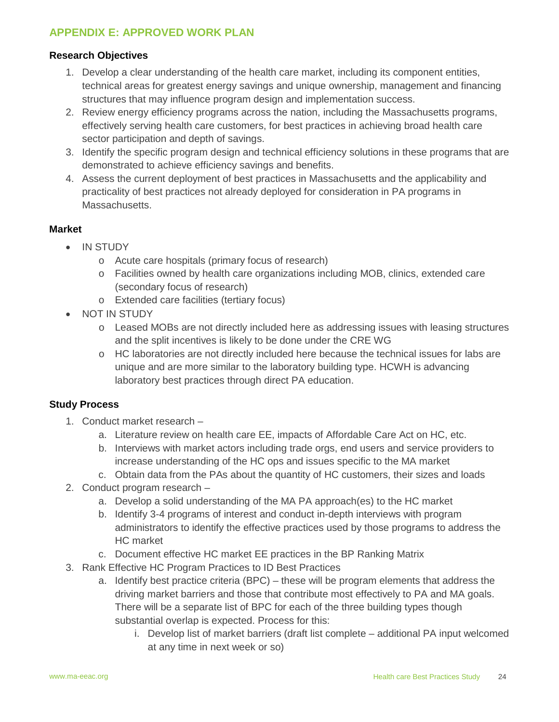# <span id="page-24-0"></span>**APPENDIX E: APPROVED WORK PLAN**

# **Research Objectives**

- 1. Develop a clear understanding of the health care market, including its component entities, technical areas for greatest energy savings and unique ownership, management and financing structures that may influence program design and implementation success.
- 2. Review energy efficiency programs across the nation, including the Massachusetts programs, effectively serving health care customers, for best practices in achieving broad health care sector participation and depth of savings.
- 3. Identify the specific program design and technical efficiency solutions in these programs that are demonstrated to achieve efficiency savings and benefits.
- 4. Assess the current deployment of best practices in Massachusetts and the applicability and practicality of best practices not already deployed for consideration in PA programs in Massachusetts.

#### **Market**

- IN STUDY
	- o Acute care hospitals (primary focus of research)
	- o Facilities owned by health care organizations including MOB, clinics, extended care (secondary focus of research)
	- o Extended care facilities (tertiary focus)
- NOT IN STUDY
	- o Leased MOBs are not directly included here as addressing issues with leasing structures and the split incentives is likely to be done under the CRE WG
	- o HC laboratories are not directly included here because the technical issues for labs are unique and are more similar to the laboratory building type. HCWH is advancing laboratory best practices through direct PA education.

# **Study Process**

- 1. Conduct market research
	- a. Literature review on health care EE, impacts of Affordable Care Act on HC, etc.
	- b. Interviews with market actors including trade orgs, end users and service providers to increase understanding of the HC ops and issues specific to the MA market
	- c. Obtain data from the PAs about the quantity of HC customers, their sizes and loads
- 2. Conduct program research
	- a. Develop a solid understanding of the MA PA approach(es) to the HC market
	- b. Identify 3-4 programs of interest and conduct in-depth interviews with program administrators to identify the effective practices used by those programs to address the HC market
	- c. Document effective HC market EE practices in the BP Ranking Matrix
- 3. Rank Effective HC Program Practices to ID Best Practices
	- a. Identify best practice criteria (BPC) these will be program elements that address the driving market barriers and those that contribute most effectively to PA and MA goals. There will be a separate list of BPC for each of the three building types though substantial overlap is expected. Process for this:
		- i. Develop list of market barriers (draft list complete additional PA input welcomed at any time in next week or so)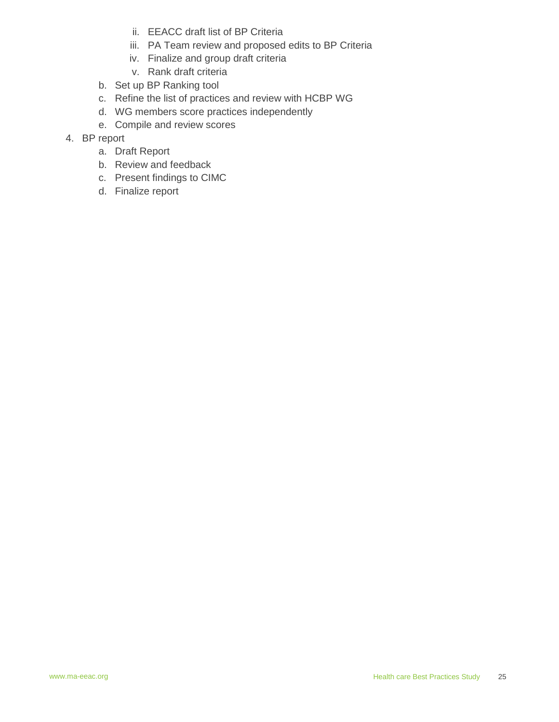- ii. EEACC draft list of BP Criteria
- iii. PA Team review and proposed edits to BP Criteria
- iv. Finalize and group draft criteria
- v. Rank draft criteria
- b. Set up BP Ranking tool
- c. Refine the list of practices and review with HCBP WG
- d. WG members score practices independently
- e. Compile and review scores
- 4. BP report
	- a. Draft Report
	- b. Review and feedback
	- c. Present findings to CIMC
	- d. Finalize report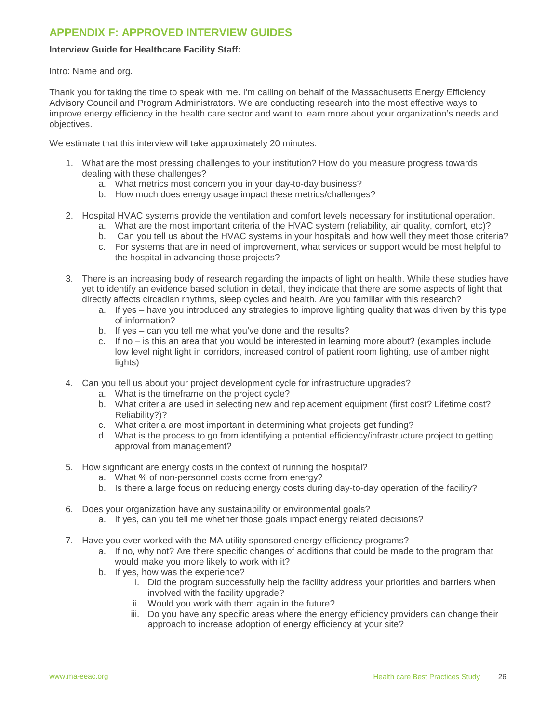# <span id="page-26-0"></span>**APPENDIX F: APPROVED INTERVIEW GUIDES**

#### **Interview Guide for Healthcare Facility Staff:**

Intro: Name and org.

Thank you for taking the time to speak with me. I'm calling on behalf of the Massachusetts Energy Efficiency Advisory Council and Program Administrators. We are conducting research into the most effective ways to improve energy efficiency in the health care sector and want to learn more about your organization's needs and objectives.

We estimate that this interview will take approximately 20 minutes.

- 1. What are the most pressing challenges to your institution? How do you measure progress towards dealing with these challenges?
	- a. What metrics most concern you in your day-to-day business?
	- b. How much does energy usage impact these metrics/challenges?
- 2. Hospital HVAC systems provide the ventilation and comfort levels necessary for institutional operation.
	- a. What are the most important criteria of the HVAC system (reliability, air quality, comfort, etc)?
	- b. Can you tell us about the HVAC systems in your hospitals and how well they meet those criteria?
	- c. For systems that are in need of improvement, what services or support would be most helpful to the hospital in advancing those projects?
- 3. There is an increasing body of research regarding the impacts of light on health. While these studies have yet to identify an evidence based solution in detail, they indicate that there are some aspects of light that directly affects circadian rhythms, sleep cycles and health. Are you familiar with this research?
	- a. If yes have you introduced any strategies to improve lighting quality that was driven by this type of information?
	- b. If yes can you tell me what you've done and the results?
	- c. If no is this an area that you would be interested in learning more about? (examples include: low level night light in corridors, increased control of patient room lighting, use of amber night lights)
- 4. Can you tell us about your project development cycle for infrastructure upgrades?
	- a. What is the timeframe on the project cycle?
	- b. What criteria are used in selecting new and replacement equipment (first cost? Lifetime cost? Reliability?)?
	- c. What criteria are most important in determining what projects get funding?
	- d. What is the process to go from identifying a potential efficiency/infrastructure project to getting approval from management?
- 5. How significant are energy costs in the context of running the hospital?
	- a. What % of non-personnel costs come from energy?
	- b. Is there a large focus on reducing energy costs during day-to-day operation of the facility?
- 6. Does your organization have any sustainability or environmental goals? a. If yes, can you tell me whether those goals impact energy related decisions?
- 7. Have you ever worked with the MA utility sponsored energy efficiency programs?
	- a. If no, why not? Are there specific changes of additions that could be made to the program that would make you more likely to work with it?
	- b. If yes, how was the experience?
		- i. Did the program successfully help the facility address your priorities and barriers when involved with the facility upgrade?
		- ii. Would you work with them again in the future?
		- iii. Do you have any specific areas where the energy efficiency providers can change their approach to increase adoption of energy efficiency at your site?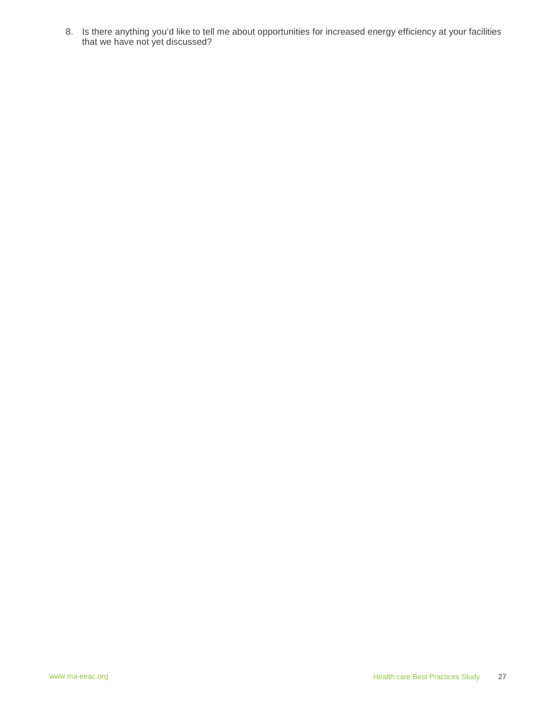8. Is there anything you'd like to tell me about opportunities for increased energy efficiency at your facilities that we have not yet discussed?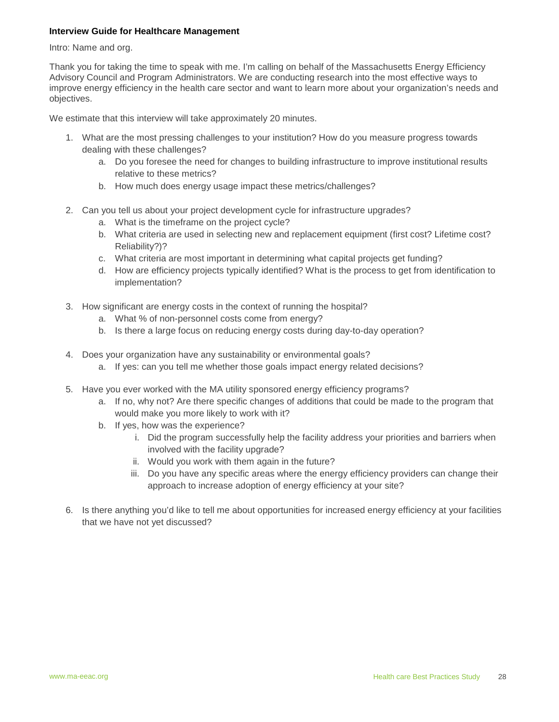#### **Interview Guide for Healthcare Management**

Intro: Name and org.

Thank you for taking the time to speak with me. I'm calling on behalf of the Massachusetts Energy Efficiency Advisory Council and Program Administrators. We are conducting research into the most effective ways to improve energy efficiency in the health care sector and want to learn more about your organization's needs and objectives.

We estimate that this interview will take approximately 20 minutes.

- 1. What are the most pressing challenges to your institution? How do you measure progress towards dealing with these challenges?
	- a. Do you foresee the need for changes to building infrastructure to improve institutional results relative to these metrics?
	- b. How much does energy usage impact these metrics/challenges?
- 2. Can you tell us about your project development cycle for infrastructure upgrades?
	- a. What is the timeframe on the project cycle?
	- b. What criteria are used in selecting new and replacement equipment (first cost? Lifetime cost? Reliability?)?
	- c. What criteria are most important in determining what capital projects get funding?
	- d. How are efficiency projects typically identified? What is the process to get from identification to implementation?
- 3. How significant are energy costs in the context of running the hospital?
	- a. What % of non-personnel costs come from energy?
	- b. Is there a large focus on reducing energy costs during day-to-day operation?
- 4. Does your organization have any sustainability or environmental goals?
	- a. If yes: can you tell me whether those goals impact energy related decisions?
- 5. Have you ever worked with the MA utility sponsored energy efficiency programs?
	- a. If no, why not? Are there specific changes of additions that could be made to the program that would make you more likely to work with it?
	- b. If yes, how was the experience?
		- i. Did the program successfully help the facility address your priorities and barriers when involved with the facility upgrade?
		- ii. Would you work with them again in the future?
		- iii. Do you have any specific areas where the energy efficiency providers can change their approach to increase adoption of energy efficiency at your site?
- 6. Is there anything you'd like to tell me about opportunities for increased energy efficiency at your facilities that we have not yet discussed?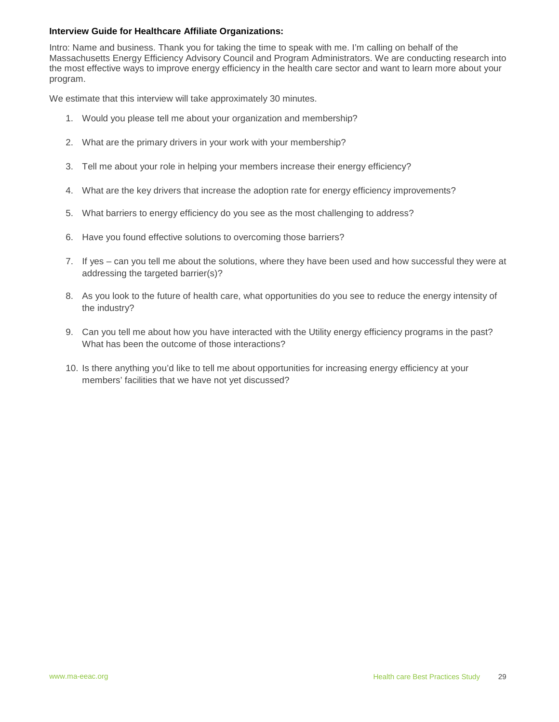#### **Interview Guide for Healthcare Affiliate Organizations:**

Intro: Name and business. Thank you for taking the time to speak with me. I'm calling on behalf of the Massachusetts Energy Efficiency Advisory Council and Program Administrators. We are conducting research into the most effective ways to improve energy efficiency in the health care sector and want to learn more about your program.

We estimate that this interview will take approximately 30 minutes.

- 1. Would you please tell me about your organization and membership?
- 2. What are the primary drivers in your work with your membership?
- 3. Tell me about your role in helping your members increase their energy efficiency?
- 4. What are the key drivers that increase the adoption rate for energy efficiency improvements?
- 5. What barriers to energy efficiency do you see as the most challenging to address?
- 6. Have you found effective solutions to overcoming those barriers?
- 7. If yes can you tell me about the solutions, where they have been used and how successful they were at addressing the targeted barrier(s)?
- 8. As you look to the future of health care, what opportunities do you see to reduce the energy intensity of the industry?
- 9. Can you tell me about how you have interacted with the Utility energy efficiency programs in the past? What has been the outcome of those interactions?
- 10. Is there anything you'd like to tell me about opportunities for increasing energy efficiency at your members' facilities that we have not yet discussed?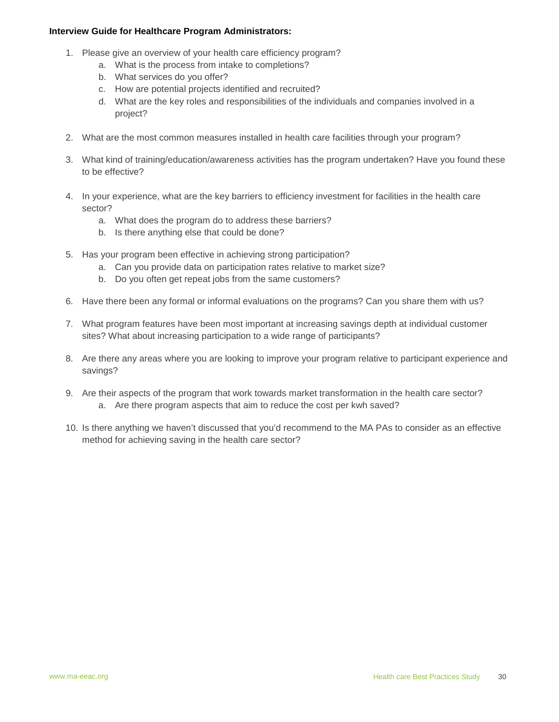#### **Interview Guide for Healthcare Program Administrators:**

- 1. Please give an overview of your health care efficiency program?
	- a. What is the process from intake to completions?
	- b. What services do you offer?
	- c. How are potential projects identified and recruited?
	- d. What are the key roles and responsibilities of the individuals and companies involved in a project?
- 2. What are the most common measures installed in health care facilities through your program?
- 3. What kind of training/education/awareness activities has the program undertaken? Have you found these to be effective?
- 4. In your experience, what are the key barriers to efficiency investment for facilities in the health care sector?
	- a. What does the program do to address these barriers?
	- b. Is there anything else that could be done?
- 5. Has your program been effective in achieving strong participation?
	- a. Can you provide data on participation rates relative to market size?
	- b. Do you often get repeat jobs from the same customers?
- 6. Have there been any formal or informal evaluations on the programs? Can you share them with us?
- 7. What program features have been most important at increasing savings depth at individual customer sites? What about increasing participation to a wide range of participants?
- 8. Are there any areas where you are looking to improve your program relative to participant experience and savings?
- 9. Are their aspects of the program that work towards market transformation in the health care sector? a. Are there program aspects that aim to reduce the cost per kwh saved?
- 10. Is there anything we haven't discussed that you'd recommend to the MA PAs to consider as an effective method for achieving saving in the health care sector?